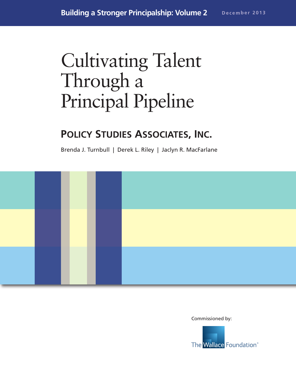# Cultivating Talent Through a Principal Pipeline

# **POLICY STUDIES ASSOCIATES, INC.**

Brenda J. Turnbull | Derek L. Riley | Jaclyn R. MacFarlane



Commissioned by:

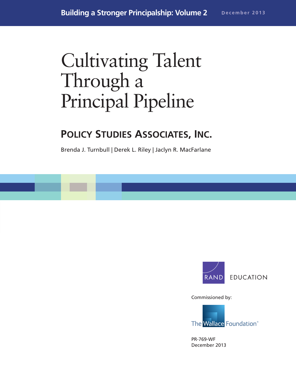# Cultivating Talent Through a Principal Pipeline

# **POLICY STUDIES ASSOCIATES, INC.**

Brenda J. Turnbull | Derek L. Riley | Jaclyn R. MacFarlane



Commissioned by:



PR-769-WF December 2013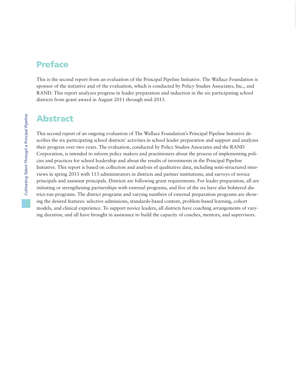# **Preface**

This is the second report from an evaluation of the Principal Pipeline Initiative. The Wallace Foundation is sponsor of the initiative and of the evaluation, which is conducted by Policy Studies Associates, Inc., and RAND. This report analyzes progress in leader preparation and induction in the six participating school districts from grant award in August 2011 through mid-2013.

# **Abstract**

This second report of an ongoing evaluation of The Wallace Foundation's Principal Pipeline Initiative describes the six participating school districts' activities in school leader preparation and support and analyzes their progress over two years. The evaluation, conducted by Policy Studies Associates and the RAND Corporation, is intended to inform policy makers and practitioners about the process of implementing policies and practices for school leadership and about the results of investments in the Principal Pipeline Initiative. This report is based on collection and analysis of qualitative data, including semi-structured interviews in spring 2013 with 113 administrators in districts and partner institutions, and surveys of novice principals and assistant principals. Districts are following grant requirements. For leader preparation, all are initiating or strengthening partnerships with external programs, and five of the six have also bolstered district-run programs. The district programs and varying numbers of external preparation programs are showing the desired features: selective admissions, standards-based content, problem-based learning, cohort models, and clinical experience. To support novice leaders, all districts have coaching arrangements of varying duration, and all have brought in assistance to build the capacity of coaches, mentors, and supervisors.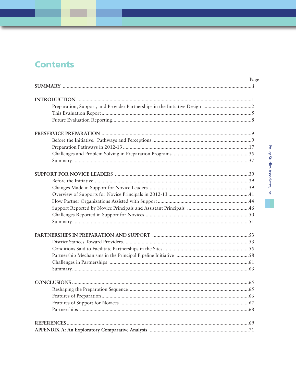# **Contents**

| Page |
|------|
|      |
|      |
|      |
|      |
|      |
|      |
|      |
|      |
|      |
|      |
|      |
|      |
|      |
|      |
|      |
|      |
|      |
|      |
|      |
|      |
|      |
|      |
|      |
|      |
|      |
|      |
|      |
|      |
|      |
|      |
|      |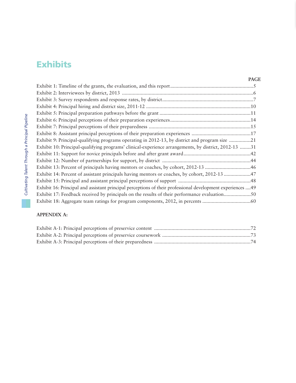# **Exhibits**

| <b>PAGE</b>                                                                                                |
|------------------------------------------------------------------------------------------------------------|
|                                                                                                            |
|                                                                                                            |
|                                                                                                            |
|                                                                                                            |
|                                                                                                            |
|                                                                                                            |
|                                                                                                            |
|                                                                                                            |
| Exhibit 9: Principal-qualifying programs operating in 2012-13, by district and program size 21             |
| Exhibit 10: Principal-qualifying programs' clinical-experience arrangements, by district, 2012-13 31       |
|                                                                                                            |
|                                                                                                            |
|                                                                                                            |
| Exhibit 14: Percent of assistant principals having mentors or coaches, by cohort, 2012-13 47               |
|                                                                                                            |
| Exhibit 16: Principal and assistant principal perceptions of their professional development experiences 49 |
| Exhibit 17: Feedback received by principals on the results of their performance evaluation50               |
|                                                                                                            |

# **APPENDIX A:**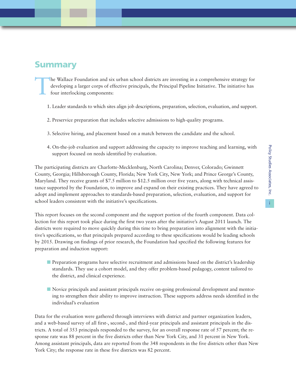# **Summary**

- The Wallace Foundation and six urban school districts are investing in <sup>a</sup> comprehensive strategy for developing a larger corps of effective principals, the Principal Pipeline Initiative. The initiative has four interlocking components:
	- 1. Leader standards to which sites align job descriptions, preparation, selection, evaluation, and support.
	- 2. Preservice preparation that includes selective admissions to high-quality programs.
	- 3. Selective hiring, and placement based on a match between the candidate and the school.
	- 4. On-the-job evaluation and support addressing the capacity to improve teaching and learning, with support focused on needs identified by evaluation.

The participating districts are Charlotte-Mecklenburg, North Carolina; Denver, Colorado; Gwinnett County, Georgia; Hillsborough County, Florida; New York City, New York; and Prince George's County, Maryland. They receive grants of \$7.5 million to \$12.5 million over five years, along with technical assistance supported by the Foundation, to improve and expand on their existing practices. They have agreed to adopt and implement approaches to standards-based preparation, selection, evaluation, and support for school leaders consistent with the initiative's specifications.

This report focuses on the second component and the support portion of the fourth component. Data collection for this report took place during the first two years after the initiative's August 2011 launch. The districts were required to move quickly during this time to bring preparation into alignment with the initiative's specifications, so that principals prepared according to these specifications would be leading schools by 2015. Drawing on findings of prior research, the Foundation had specified the following features for preparation and induction support:

- Preparation programs have selective recruitment and admissions based on the district's leadership standards. They use a cohort model, and they offer problem-based pedagogy, content tailored to the district, and clinical experience.
- Novice principals and assistant principals receive on-going professional development and mentoring to strengthen their ability to improve instruction. These supports address needs identified in the individual's evaluation

Data for the evaluation were gathered through interviews with district and partner organization leaders, and a web-based survey of all first-, second-, and third-year principals and assistant principals in the districts. A total of 353 principals responded to the survey, for an overall response rate of 57 percent; the response rate was 88 percent in the five districts other than New York City, and 31 percent in New York. Among assistant principals, data are reported from the 348 respondents in the five districts other than New York City; the response rate in these five districts was 82 percent.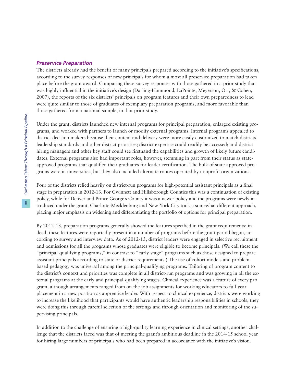#### *Preservice Preparation*

The districts already had the benefit of many principals prepared according to the initiative's specifications, according to the survey responses of new principals for whom almost all preservice preparation had taken place before the grant award. Comparing these survey responses with those gathered in a prior study that was highly influential in the initiative's design (Darling-Hammond, LaPointe, Meyerson, Orr, & Cohen, 2007), the reports of the six districts' principals on program features and their own preparedness to lead were quite similar to those of graduates of exemplary preparation programs, and more favorable than those gathered from a national sample, in that prior study.

Under the grant, districts launched new internal programs for principal preparation, enlarged existing programs, and worked with partners to launch or modify external programs. Internal programs appealed to district decision makers because their content and delivery were more easily customized to match districts' leadership standards and other district priorities; district expertise could readily be accessed; and district hiring managers and other key staff could see firsthand the capabilities and growth of likely future candidates. External programs also had important roles, however, stemming in part from their status as stateapproved programs that qualified their graduates for leader certification. The bulk of state-approved programs were in universities, but they also included alternate routes operated by nonprofit organizations.

Four of the districts relied heavily on district-run programs for high-potential assistant principals as a final stage in preparation in 2012-13. For Gwinnett and Hillsborough Counties this was a continuation of existing policy, while for Denver and Prince George's County it was a newer policy and the programs were newly introduced under the grant. Charlotte-Mecklenburg and New York City took a somewhat different approach, placing major emphasis on widening and differentiating the portfolio of options for principal preparation.

By 2012-13, preparation programs generally showed the features specified in the grant requirements; indeed, these features were reportedly present in a number of programs before the grant period began, according to survey and interview data. As of 2012-13, district leaders were engaged in selective recruitment and admissions for all the programs whose graduates were eligible to become principals. (We call these the "principal-qualifying programs," in contrast to "early-stage" programs such as those designed to prepare assistant principals according to state or district requirements.) The use of cohort models and problembased pedagogy was universal among the principal-qualifying programs. Tailoring of program content to the district's context and priorities was complete in all district-run programs and was growing in all the external programs at the early and principal-qualifying stages. Clinical experience was a feature of every program, although arrangements ranged from on-the-job assignments for working educators to full-year placement in a new position as apprentice leader. With respect to clinical experience, districts were working to increase the likelihood that participants would have authentic leadership responsibilities in schools; they were doing this through careful selection of the settings and through orientation and monitoring of the supervising principals.

In addition to the challenge of ensuring a high-quality learning experience in clinical settings, another challenge that the districts faced was that of meeting the grant's ambitious deadline in the 2014-15 school year for hiring large numbers of principals who had been prepared in accordance with the initiative's vision.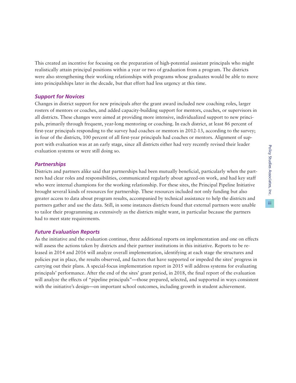This created an incentive for focusing on the preparation of high-potential assistant principals who might realistically attain principal positions within a year or two of graduation from a program. The districts were also strengthening their working relationships with programs whose graduates would be able to move into principalships later in the decade, but that effort had less urgency at this time.

#### *Support for Novices*

Changes in district support for new principals after the grant award included new coaching roles, larger rosters of mentors or coaches, and added capacity-building support for mentors, coaches, or supervisors in all districts. These changes were aimed at providing more intensive, individualized support to new principals, primarily through frequent, year-long mentoring or coaching. In each district, at least 86 percent of first-year principals responding to the survey had coaches or mentors in 2012-13, according to the survey; in four of the districts, 100 percent of all first-year principals had coaches or mentors. Alignment of support with evaluation was at an early stage, since all districts either had very recently revised their leader evaluation systems or were still doing so.

#### *Partnerships*

Districts and partners alike said that partnerships had been mutually beneficial, particularly when the partners had clear roles and responsibilities, communicated regularly about agreed-on work, and had key staff who were internal champions for the working relationship. For these sites, the Principal Pipeline Initiative brought several kinds of resources for partnership. These resources included not only funding but also greater access to data about program results, accompanied by technical assistance to help the districts and partners gather and use the data. Still, in some instances districts found that external partners were unable to tailor their programming as extensively as the districts might want, in particular because the partners had to meet state requirements.

#### *Future Evaluation Reports*

As the initiative and the evaluation continue, three additional reports on implementation and one on effects will assess the actions taken by districts and their partner institutions in this initiative. Reports to be released in 2014 and 2016 will analyze overall implementation, identifying at each stage the structures and policies put in place, the results observed, and factors that have supported or impeded the sites' progress in carrying out their plans. A special-focus implementation report in 2015 will address systems for evaluating principals' performance. After the end of the sites' grant period, in 2018, the final report of the evaluation will analyze the effects of "pipeline principals"—those prepared, selected, and supported in ways consistent with the initiative's design—on important school outcomes, including growth in student achievement.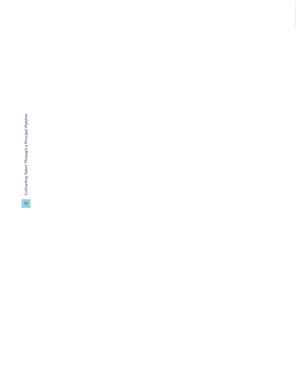*Cultivating Talent Through a Principal Pipeline* z Cultivating Talent Through a Principal Pipeline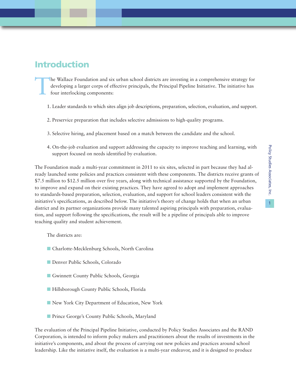# **Introduction**

- The Wallace Foundation and six urban school districts are investing in <sup>a</sup> comprehensive strategy for developing a larger corps of effective principals, the Principal Pipeline Initiative. The initiative has four interlocking components:
	- 1. Leader standards to which sites align job descriptions, preparation, selection, evaluation, and support.
	- 2. Preservice preparation that includes selective admissions to high-quality programs.
	- 3. Selective hiring, and placement based on a match between the candidate and the school.
	- 4. On-the-job evaluation and support addressing the capacity to improve teaching and learning, with support focused on needs identified by evaluation.

The Foundation made a multi-year commitment in 2011 to six sites, selected in part because they had already launched some policies and practices consistent with these components. The districts receive grants of \$7.5 million to \$12.5 million over five years, along with technical assistance supported by the Foundation, to improve and expand on their existing practices. They have agreed to adopt and implement approaches to standards-based preparation, selection, evaluation, and support for school leaders consistent with the initiative's specifications, as described below. The initiative's theory of change holds that when an urban district and its partner organizations provide many talented aspiring principals with preparation, evaluation, and support following the specifications, the result will be a pipeline of principals able to improve teaching quality and student achievement.

The districts are:

- Charlotte-Mecklenburg Schools, North Carolina
- Denver Public Schools, Colorado
- Gwinnett County Public Schools, Georgia
- Hillsborough County Public Schools, Florida
- New York City Department of Education, New York
- Prince George's County Public Schools, Maryland

The evaluation of the Principal Pipeline Initiative, conducted by Policy Studies Associates and the RAND Corporation, is intended to inform policy makers and practitioners about the results of investments in the initiative's components, and about the process of carrying out new policies and practices around school leadership. Like the initiative itself, the evaluation is a multi-year endeavor, and it is designed to produce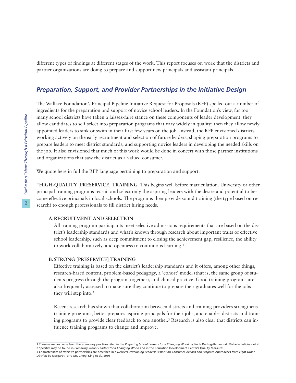different types of findings at different stages of the work. This report focuses on work that the districts and partner organizations are doing to prepare and support new principals and assistant principals.

## *Preparation, Support, and Provider Partnerships in the Initiative Design*

The Wallace Foundation's Principal Pipeline Initiative Request for Proposals (RFP) spelled out a number of ingredients for the preparation and support of novice school leaders. In the Foundation's view, far too many school districts have taken a laissez-faire stance on these components of leader development: they allow candidates to self-select into preparation programs that vary widely in quality; then they allow newly appointed leaders to sink or swim in their first few years on the job. Instead, the RFP envisioned districts working actively on the early recruitment and selection of future leaders, shaping preparation programs to prepare leaders to meet district standards, and supporting novice leaders in developing the needed skills on the job. It also envisioned that much of this work would be done in concert with those partner institutions and organizations that saw the district as a valued consumer.

We quote here in full the RFP language pertaining to preparation and support:

**"HIGH-QUALITY [PRESERVICE] TRAINING.** This begins well before matriculation. University or other principal training programs recruit and select only the aspiring leaders with the desire and potential to become effective principals in local schools. The programs then provide sound training (the type based on research) to enough professionals to fill district hiring needs.

## **A.RECRUITMENT AND SELECTION**

All training program participants meet selective admissions requirements that are based on the district's leadership standards and what's known through research about important traits of effective school leadership, such as deep commitment to closing the achievement gap, resilience, the ability to work collaboratively, and openness to continuous learning. 1

#### **B. STRONG [PRESERVICE] TRAINING**

Effective training is based on the district's leadership standards and it offers, among other things, research-based content, problem-based pedagogy, a 'cohort' model (that is, the same group of students progress through the program together), and clinical practice. Good training programs are also frequently assessed to make sure they continue to prepare their graduates well for the jobs they will step into. 2

Recent research has shown that collaboration between districts and training providers strengthens training programs, better prepares aspiring principals for their jobs, and enables districts and training programs to provide clear feedback to one another. <sup>3</sup> Research is also clear that districts can influence training programs to change and improve.

<sup>1</sup> These examples come from the exemplary practices cited in the *Preparing School Leaders for a Changing World* by Linda Darling-Hammond, Michelle LaPointe et al. 2 Specifics may be found in *Preparing School Leaders for a Changing World* and in the Education Development Center's Quality Measures. 3 Characteristics of effective partnerships are described in a Districts Developing Leaders: Lessons on Consumer Actions and Program Approaches from Eight Urban *Districts* by Margaret Terry Orr, Cheryl King et al., 2010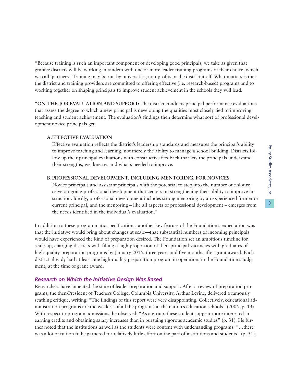Policy

Studies

Associates,

3

Inc.

"Because training is such an important component of developing good principals, we take as given that grantee districts will be working in tandem with one or more leader training programs of their choice, which we call 'partners.' Training may be run by universities, non-profits or the district itself. What matters is that the district and training providers are committed to offering effective (i.e. research-based) programs and to working together on shaping principals to improve student achievement in the schools they will lead.

**"ON-THE-JOB EVALUATION AND SUPPORT:** The district conducts principal performance evaluations that assess the degree to which a new principal is developing the qualities most closely tied to improving teaching and student achievement. The evaluation's findings then determine what sort of professional development novice principals get.

#### **A.EFFECTIVE EVALUATION**

Effective evaluation reflects the district's leadership standards and measures the principal's ability to improve teaching and learning, not merely the ability to manage a school building. Districts follow up their principal evaluations with constructive feedback that lets the principals understand their strengths, weaknesses and what's needed to improve.

## **B.PROFESSIONAL DEVELOPMENT, INCLUDING MENTORING, FOR NOVICES**

Novice principals and assistant principals with the potential to step into the number one slot receive on-going professional development that centers on strengthening their ability to improve instruction. Ideally, professional development includes strong mentoring by an experienced former or current principal, and the mentoring – like all aspects of professional development – emerges from the needs identified in the individual's evaluation."

In addition to these programmatic specifications, another key feature of the Foundation's expectation was that the initiative would bring about changes at scale—that substantial numbers of incoming principals would have experienced the kind of preparation desired. The Foundation set an ambitious timeline for scale-up, charging districts with filling a high proportion of their principal vacancies with graduates of high-quality preparation programs by January 2015, three years and five months after grant award. Each district already had at least one high-quality preparation program in operation, in the Foundation's judgment, at the time of grant award.

#### *Research on Which the Initiative Design Was Based*

Researchers have lamented the state of leader preparation and support. After a review of preparation programs, the then-President of Teachers College, Columbia University, Arthur Levine, delivered a famously scathing critique, writing: "The findings of this report were very disappointing. Collectively, educational administration programs are the weakest of all the programs at the nation's education schools" (2005, p. 13). With respect to program admissions, he observed: "As a group, these students appear more interested in earning credits and obtaining salary increases than in pursuing rigorous academic studies" (p. 31). He further noted that the institutions as well as the students were content with undemanding programs: "…there was a lot of tuition to be garnered for relatively little effort on the part of institutions and students" (p. 31).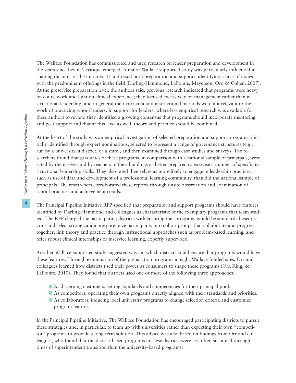The Wallace Foundation has commissioned and used research on leader preparation and development in the years since Levine's critique emerged. A major Wallace-supported study was particularly influential in shaping the aims of the initiative. It addressed both preparation and support, identifying a host of issues with the predominant offerings in the field (Darling-Hammond, LaPointe, Meyerson, Orr, & Cohen, 2007). At the preservice preparation level, the authors said, previous research indicated that programs were heavy on coursework and light on clinical experience; they focused excessively on management rather than instructional leadership; and in general their curricula and instructional methods were not relevant to the work of practicing school leaders. In support for leaders, where less empirical research was available for these authors to review, they identified a growing consensus that programs should incorporate mentoring and peer support and that at this level as well, theory and practice should be combined.

At the heart of the study was an empirical investigation of selected preparation and support programs, initially identified through expert nominations, selected to represent a range of governance structures (e.g., run by a university, a district, or a state), and then examined through case studies and surveys. The researchers found that graduates of these programs, in comparison with a national sample of principals, were rated by themselves and by teachers in their buildings as better prepared to exercise a number of specific instructional leadership skills. They also rated themselves as more likely to engage in leadership practices, such as use of data and development of a professional learning community, than did the national sample of principals. The researchers corroborated these reports through onsite observation and examination of school practices and achievement trends.

The Principal Pipeline Initiative RFP specified that preparation and support programs should have features identified by Darling-Hammond and colleagues as characteristic of the exemplary programs that team studied. The RFP charged the participating districts with ensuring that programs would be standards-based; recruit and select strong candidates; organize participants into cohort groups that collaborate and progress together; link theory and practice through instructional approaches such as problem-based learning; and offer robust clinical internships or inservice learning, expertly supervised.

Another Wallace-supported study suggested ways in which districts could ensure that programs would have these features. Through examination of the preparation programs in eight Wallace-funded sites, Orr and colleagues learned how districts used their power as consumers to shape these programs (Orr, King, & LaPointe, 2010). They found that districts used one or more of the following three approaches:

- As discerning customers, setting standards and competencies for their principal pool.
- As competitors, operating their own programs directly aligned with their standards and priorities.
- As collaborators, inducing local university programs to change selection criteria and customize program features.

In the Principal Pipeline Initiative, The Wallace Foundation has encouraged participating districts to pursue these strategies and, in particular, to team up with universities rather than expecting their own "competitor" programs to provide a long-term solution. This advice was also based on findings from Orr and colleagues, who found that the district-based programs in these districts were less often sustained through times of superintendent transition than the university-based programs.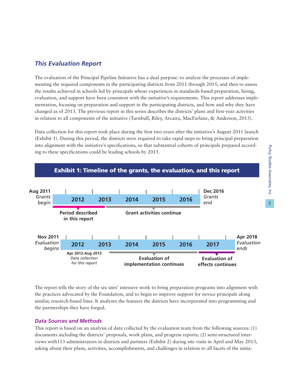# *This Evaluation Report*

The evaluation of the Principal Pipeline Initiative has a dual purpose: to analyze the processes of implementing the required components in the participating districts from 2011 through 2015; and then to assess the results achieved in schools led by principals whose experiences in standards-based preparation, hiring, evaluation, and support have been consistent with the initiative's requirements. This report addresses implementation, focusing on preparation and support in the participating districts, and how and why they have changed as of 2013. The previous report in this series describes the districts' plans and first-year activities in relation to all components of the initiative (Turnbull, Riley, Arcaira, MacFarlane, & Anderson, 2013).

Data collection for this report took place during the first two years after the initiative's August 2011 launch (Exhibit 1). During this period, the districts were required to take rapid steps to bring principal preparation into alignment with the initiative's specifications, so that substantial cohorts of principals prepared according to these specifications could be leading schools by 2015.

**Exhibit 1: Timeline of the grants, the evaluation, and this report**



The report tells the story of the six sites' intensive work to bring preparation programs into alignment with the practices advocated by the Foundation, and to begin to improve support for novice principals along similar, research-based lines. It analyzes the features the districts have incorporated into programming and the partnerships they have forged.

## *Data Sources and Methods*

This report is based on an analysis of data collected by the evaluation team from the following sources: (1) documents including the districts' proposals, work plans, and progress reports; (2) semi-structured interviews with113 administrators in districts and partners (Exhibit 2) during site visits in April and May 2013, asking about their plans, activities, accomplishments, and challenges in relation to all facets of the initia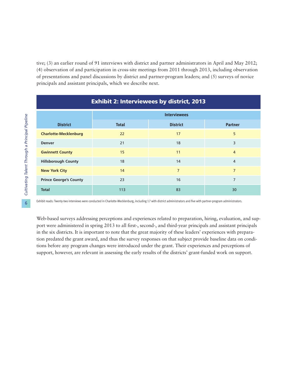tive; (3) an earlier round of 91 interviews with district and partner administrators in April and May 2012; (4) observation of and participation in cross-site meetings from 2011 through 2013, including observation of presentations and panel discussions by district and partner-program leaders; and (5) surveys of novice principals and assistant principals, which we describe next.

|                               | <b>Exhibit 2: Interviewees by district, 2013</b> |                     |                |
|-------------------------------|--------------------------------------------------|---------------------|----------------|
|                               |                                                  | <b>Interviewees</b> |                |
| <b>District</b>               | <b>Total</b>                                     | <b>District</b>     | <b>Partner</b> |
| <b>Charlotte-Mecklenburg</b>  | 22                                               | 17                  | 5              |
| <b>Denver</b>                 | 21                                               | 18                  | 3              |
| <b>Gwinnett County</b>        | 15                                               | 11                  | $\overline{4}$ |
| <b>Hillsborough County</b>    | 18                                               | 14                  | $\overline{4}$ |
| <b>New York City</b>          | 14                                               | $\overline{7}$      | $\overline{7}$ |
| <b>Prince George's County</b> | 23                                               | 16                  | $\overline{7}$ |
| <b>Total</b>                  | 113                                              | 83                  | 30             |

Cultivating Talent Through a Principal Pipeline *Cultivating Talent Through a Principal Pipeline* 6

Web-based surveys addressing perceptions and experiences related to preparation, hiring, evaluation, and support were administered in spring 2013 to all first-, second-, and third-year principals and assistant principals in the six districts. It is important to note that the great majority of these leaders' experiences with preparation predated the grant award, and thus the survey responses on that subject provide baseline data on conditions before any program changes were introduced under the grant. Their experiences and perceptions of support, however, are relevant in assessing the early results of the districts' grant-funded work on support.

Exhibit reads: Twenty-two interviews were conducted in Charlotte-Mecklenburg, including 17 with district administrators and five with partner-program administrators.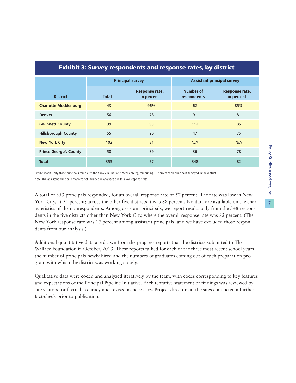|                               |              | <b>Principal survey</b>      |                          | <b>Assistant principal survey</b> |
|-------------------------------|--------------|------------------------------|--------------------------|-----------------------------------|
| <b>District</b>               | <b>Total</b> | Response rate,<br>in percent | Number of<br>respondents | Response rate,<br>in percent      |
| <b>Charlotte-Mecklenburg</b>  | 43           | 96%                          | 62                       | 85%                               |
| <b>Denver</b>                 | 56           | 78                           | 91                       | 81                                |
| <b>Gwinnett County</b>        | 39           | 93                           | 112                      | 85                                |
| <b>Hillsborough County</b>    | 55           | 90                           | 47                       | 75                                |
| <b>New York City</b>          | 102          | 31                           | N/A                      | N/A                               |
| <b>Prince George's County</b> | 58           | 89                           | 36                       | 78                                |
| <b>Total</b>                  | 353          | 57                           | 348                      | 82                                |

# **Exhibit 3: Survey respondents and response rates, by district**

Exhibit reads: Forty-three principals completed the survey in Charlotte-Mecklenburg, comprising 96 percent of all principals surveyed in the district. Note: NYC assistant principal data were not included in analyses due to a low response rate.

A total of 353 principals responded, for an overall response rate of 57 percent. The rate was low in New York City, at 31 percent; across the other five districts it was 88 percent. No data are available on the characteristics of the nonrespondents. Among assistant principals, we report results only from the 348 respondents in the five districts other than New York City, where the overall response rate was 82 percent. (The New York response rate was 17 percent among assistant principals, and we have excluded those respondents from our analysis.)

Additional quantitative data are drawn from the progress reports that the districts submitted to The Wallace Foundation in October, 2013. These reports tallied for each of the three most recent school years the number of principals newly hired and the numbers of graduates coming out of each preparation program with which the district was working closely.

Qualitative data were coded and analyzed iteratively by the team, with codes corresponding to key features and expectations of the Principal Pipeline Initiative. Each tentative statement of findings was reviewed by site visitors for factual accuracy and revised as necessary. Project directors at the sites conducted a further fact-check prior to publication.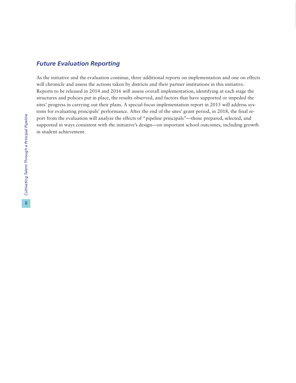# *Future Evaluation Reporting*

As the initiative and the evaluation continue, three additional reports on implementation and one on effects will chronicle and assess the actions taken by districts and their partner institutions in this initiative. Reports to be released in 2014 and 2016 will assess overall implementation, identifying at each stage the structures and policies put in place, the results observed, and factors that have supported or impeded the sites' progress in carrying out their plans. A special-focus implementation report in 2015 will address systems for evaluating principals' performance. After the end of the sites' grant period, in 2018, the final report from the evaluation will analyze the effects of "pipeline principals"—those prepared, selected, and supported in ways consistent with the initiative's design—on important school outcomes, including growth in student achievement.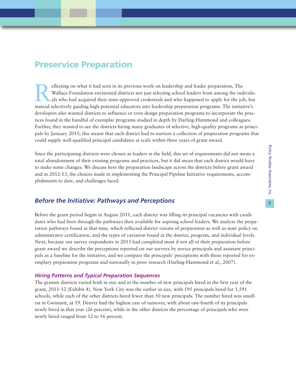# **Preservice Preparation**

Experience on what it had seen in its previous work on leadership and leader preparation, The Wallace Foundation envisioned districts not just selecting school leaders from among the inclusion and acquired their state-appr Wallace Foundation envisioned districts not just selecting school leaders from among the individuals who had acquired their state-approved credentials and who happened to apply for the job, but instead selectively guiding high-potential educators into leadership preparation programs. The initiative's developers also wanted districts to influence or even design preparation programs to incorporate the practices found in the handful of exemplar programs studied in depth by Darling-Hammond and colleagues. Further, they wanted to see the districts hiring many graduates of selective, high-quality programs as principals by January 2015; this meant that each district had to nurture a collection of preparation programs that could supply well-qualified principal candidates at scale within three years of grant award.

Since the participating districts were chosen as leaders in the field, this set of requirements did not mean a total abandonment of their existing programs and practices, but it did mean that each district would have to make some changes. We discuss here the preparation landscape across the districts before grant award and in 2012-13, the choices made in implementing the Principal Pipeline Initiative requirements, accomplishments to date, and challenges faced.

## *Before the Initiative: Pathways and Perceptions*

Before the grant period began in August 2011, each district was filling its principal vacancies with candidates who had been through the pathways then available for aspiring school leaders. We analyze the preparation pathways found at that time, which reflected district visions of preparation as well as state policy on administrator certification, and the types of variation found at the district, program, and individual levels. Next, because our survey respondents in 2013 had completed most if not all of their preparation before grant award we describe the perceptions reported on our surveys by novice principals and assistant principals as a baseline for the initiative, and we compare the principals' perceptions with those reported for exemplary preparation programs and nationally in prior research (Darling-Hammond et al., 2007).

#### *Hiring Patterns and Typical Preparation Sequences*

The grantee districts varied both in size and in the number of new principals hired in the first year of the grant, 2011-12 (Exhibit 4). New York City was the outlier in size, with 195 principals hired for 1,591 schools, while each of the other districts hired fewer than 50 new principals. The number hired was smallest in Gwinnett, at 19. Denver had the highest rate of turnover, with about one-fourth of its principals newly hired in that year (26 percent), while in the other districts the percentage of principals who were newly hired ranged from 12 to 16 percent.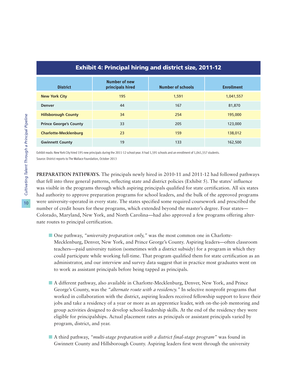| <b>District</b>               | <b>Number of new</b><br>principals hired | <b>Number of schools</b> | <b>Enrollment</b> |
|-------------------------------|------------------------------------------|--------------------------|-------------------|
| <b>New York City</b>          | 195                                      | 1,591                    | 1,041,557         |
| <b>Denver</b>                 | 44                                       | 167                      | 81,870            |
| <b>Hillsborough County</b>    | 34                                       | 254                      | 195,000           |
| <b>Prince George's County</b> | 33                                       | 205                      | 123,000           |
| <b>Charlotte-Mecklenburg</b>  | 23                                       | 159                      | 138,012           |
| <b>Gwinnett County</b>        | 19                                       | 133                      | 162,500           |

# **Exhibit 4: Principal hiring and district size, 2011-12**

Exhibit reads: New York City hired 195 new principals during the 2011-12 schoolyear. It had 1,591 schools and an enrollment of 1,041,557 students. Source: District reports to The Wallace Foundation, October 2013

**PREPARATION PATHWAYS.** The principals newly hired in 2010-11 and 2011-12 had followed pathways that fell into three general patterns, reflecting state and district policies (Exhibit 5). The states' influence was visible in the programs through which aspiring principals qualified for state certification. All six states had authority to approve preparation programs for school leaders, and the bulk of the approved programs were university-operated in every state. The states specified some required coursework and prescribed the number of credit hours for these programs, which extended beyond the master's degree. Four states— Colorado, Maryland, New York, and North Carolina—had also approved a few programs offering alternate routes to principal certification.

- One pathway, *"university preparation only,"* was the most common one in Charlotte-Mecklenburg, Denver, New York, and Prince George's County. Aspiring leaders—often classroom teachers—paid university tuition (sometimes with a district subsidy) for a program in which they could participate while working full-time. That program qualified them for state certification as an administrator, and our interview and survey data suggest that in practice most graduates went on to work as assistant principals before being tapped as principals.
- A different pathway, also available in Charlotte-Mecklenburg, Denver, New York, and Prince George's County, was the *"alternate route with a residency."* In selective nonprofit programs that worked in collaboration with the district, aspiring leaders received fellowship support to leave their jobs and take a residency of a year or more as an apprentice leader, with on-the-job mentoring and group activities designed to develop school-leadership skills. At the end of the residency they were eligible for principalships. Actual placement rates as principals or assistant principals varied by program, district, and year.
- A third pathway, *"multi-stage preparation with a district final-stage program"* was found in Gwinnett County and Hillsborough County. Aspiring leaders first went through the university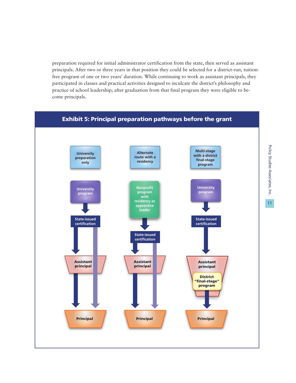preparation required for initial administrator certification from the state, then served as assistant principals. After two or three years in that position they could be selected for a district-run, tuitionfree program of one or two years' duration. While continuing to work as assistant principals, they participated in classes and practical activities designed to inculcate the district's philosophy and practice of school leadership; after graduation from that final program they were eligible to become principals.

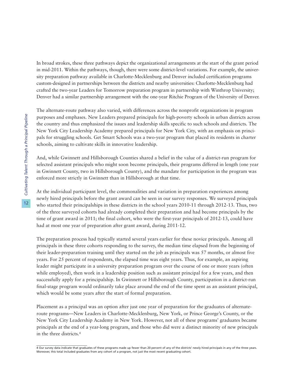In broad strokes, these three pathways depict the organizational arrangements at the start of the grant period in mid-2011. Within the pathways, though, there were some district-level variations. For example, the university preparation pathway available in Charlotte-Mecklenburg and Denver included certification programs custom-designed in partnerships between the districts and nearby universities: Charlotte-Mecklenburg had crafted the two-year Leaders for Tomorrow preparation program in partnership with Winthrop University; Denver had a similar partnership arrangement with the one-year Ritchie Program of the University of Denver.

The alternate-route pathway also varied, with differences across the nonprofit organizations in program purposes and emphases. New Leaders prepared principals for high-poverty schools in urban districts across the country and thus emphasized the issues and leadership skills specific to such schools and districts. The New York City Leadership Academy prepared principals for New York City, with an emphasis on principals for struggling schools. Get Smart Schools was a two-year program that placed its residents in charter schools, aiming to cultivate skills in innovative leadership.

And, while Gwinnett and Hillsborough Counties shared a belief in the value of a district-run program for selected assistant principals who might soon become principals, their programs differed in length (one year in Gwinnett County, two in Hillsborough County), and the mandate for participation in the program was enforced more strictly in Gwinnett than in Hillsborough at that time.

At the individual participant level, the commonalities and variation in preparation experiences among newly hired principals before the grant award can be seen in our survey responses. We surveyed principals who started their principalships in these districts in the school years 2010-11 through 2012-13. Thus, two of the three surveyed cohorts had already completed their preparation and had become principals by the time of grant award in 2011; the final cohort, who were the first-year principals of 2012-13, could have had at most one year of preparation after grant award, during 2011-12.

The preparation process had typically started several years earlier for these novice principals. Among all principals in these three cohorts responding to the survey, the median time elapsed from the beginning of their leader-preparation training until they started on the job as principals was 57 months, or almost five years. For 25 percent of respondents, the elapsed time was eight years. Thus, for example, an aspiring leader might participate in a university preparation program over the course of one or more years (often while employed), then work in a leadership position such as assistant principal for a few years, and then successfully apply for a principalship. In Gwinnett or Hillsborough County, participation in a district-run final-stage program would ordinarily take place around the end of the time spent as an assistant principal, which would be some years after the start of formal preparation.

Placement as a principal was an option after just one year of preparation for the graduates of alternateroute programs—New Leaders in Charlotte-Mecklenburg, New York, or Prince George's County, or the New York City Leadership Academy in New York. However, not all of these programs' graduates became principals at the end of a year-long program, and those who did were a distinct minority of new principals in the three districts. 4

<sup>4</sup> Our survey data indicate that graduates of these programs made up fewer than 20 percent of any of the districts' newly hired principals in any of the three years. Moreover, this total included graduates from any cohort of a program, not just the most recent graduating cohort.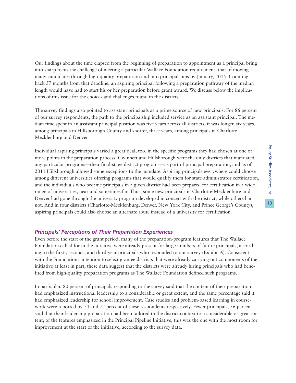Our findings about the time elapsed from the beginning of preparation to appointment as a principal bring into sharp focus the challenge of meeting a particular Wallace Foundation requirement, that of moving many candidates through high-quality preparation and into principalships by January, 2015. Counting back 57 months from that deadline, an aspiring principal following a preparation pathway of the median length would have had to start his or her preparation before grant award. We discuss below the implications of this issue for the choices and challenges found in the districts.

The survey findings also pointed to assistant principals as a prime source of new principals. For 86 percent of our survey respondents, the path to the principalship included service as an assistant principal. The median time spent in an assistant principal position was five years across all districts; it was longer, six years, among principals in Hillsborough County and shorter, three years, among principals in Charlotte-Mecklenburg and Denver.

Individual aspiring principals varied a great deal, too, in the specific programs they had chosen at one or more points in the preparation process. Gwinnett and Hillsborough were the only districts that mandated any particular programs—their final-stage district programs—as part of principal preparation, and as of 2011 Hillsborough allowed some exceptions to the mandate. Aspiring principals everywhere could choose among different universities offering programs that would qualify them for state administrator certification, and the individuals who became principals in a given district had been prepared for certification in a wide range of universities, near and sometimes far. Thus, some new principals in Charlotte-Mecklenburg and Denver had gone through the university program developed in concert with the district, while others had not. And in four districts (Charlotte-Mecklenburg, Denver, New York City, and Prince George's County), aspiring principals could also choose an alternate route instead of a university for certification.

#### *Principals' Perceptions of Their Preparation Experiences*

Even before the start of the grant period, many of the preparation-program features that The Wallace Foundation called for in the initiative were already present for large numbers of future principals, according to the first-, second-, and third-year principals who responded to our survey (Exhibit 6). Consistent with the Foundation's intention to select grantee districts that were already carrying out components of the initiative at least in part, these data suggest that the districts were already hiring principals who had benefited from high-quality preparation programs as The Wallace Foundation defined such programs.

In particular, 80 percent of principals responding to the survey said that the content of their preparation had emphasized instructional leadership to a considerable or great extent, and the same percentage said it had emphasized leadership for school improvement. Case studies and problem-based learning in coursework were reported by 74 and 72 percent of these respondents respectively. Fewer principals, 56 percent, said that their leadership preparation had been tailored to the district context to a considerable or great extent; of the features emphasized in the Principal Pipeline Initiative, this was the one with the most room for improvement at the start of the initiative, according to the survey data.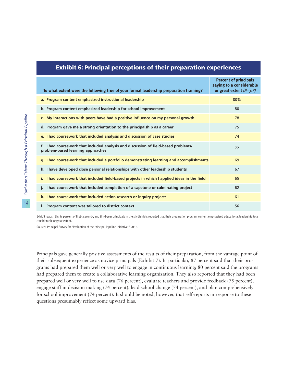| To what extent were the following true of your formal leadership preparation training?                                  | <b>Percent of principals</b><br>saying to a considerable<br>or great extent $(N=318)$ |
|-------------------------------------------------------------------------------------------------------------------------|---------------------------------------------------------------------------------------|
| a. Program content emphasized instructional leadership                                                                  | 80%                                                                                   |
| b. Program content emphasized leadership for school improvement                                                         | 80                                                                                    |
| c. My interactions with peers have had a positive influence on my personal growth                                       | 78                                                                                    |
| d. Program gave me a strong orientation to the principalship as a career                                                | 75                                                                                    |
| e. I had coursework that included analysis and discussion of case studies                                               | 74                                                                                    |
| f. I had coursework that included analysis and discussion of field-based problems/<br>problem-based learning approaches | 72                                                                                    |
| g. I had coursework that included a portfolio demonstrating learning and accomplishments                                | 69                                                                                    |
| h. I have developed close personal relationships with other leadership students                                         | 67                                                                                    |
| i. I had coursework that included field-based projects in which I applied ideas in the field                            | 65                                                                                    |
| j. I had coursework that included completion of a capstone or culminating project                                       | 62                                                                                    |
| k. I had coursework that included action research or inquiry projects                                                   | 61                                                                                    |
| I. Program content was tailored to district context                                                                     | 56                                                                                    |

# **Exhibit 6: Principal perceptions of their preparation experiences**

Exhibit reads: Eighty percent of first-, second-, and third-year principals in the six districts reported that their preparation program content emphasized educational leadership to a considerable or great extent.

Source: Principal Survey for "Evaluation of the Principal Pipeline Initiative," 2013.

Principals gave generally positive assessments of the results of their preparation, from the vantage point of their subsequent experience as novice principals (Exhibit 7). In particular, 87 percent said that their programs had prepared them well or very well to engage in continuous learning; 80 percent said the programs had prepared them to create a collaborative learning organization. They also reported that they had been prepared well or very well to use data (76 percent), evaluate teachers and provide feedback (75 percent), engage staff in decision making (74 percent), lead school change (74 percent), and plan comprehensively for school improvement (74 percent). It should be noted, however, that self-reports in response to these questions presumably reflect some upward bias.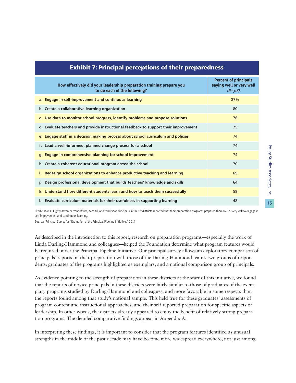| How effectively did your leadership preparation training prepare you<br>to do each of the following? | <b>Percent of principals</b><br>saying well or very well<br>$(N=318)$ |
|------------------------------------------------------------------------------------------------------|-----------------------------------------------------------------------|
| a. Engage in self-improvement and continuous learning                                                | 87%                                                                   |
| b. Create a collaborative learning organization                                                      | 80                                                                    |
| c. Use data to monitor school progress, identify problems and propose solutions                      | 76                                                                    |
| d. Evaluate teachers and provide instructional feedback to support their improvement                 | 75                                                                    |
| e. Engage staff in a decision making process about school curriculum and policies                    | 74                                                                    |
| f. Lead a well-informed, planned change process for a school                                         | 74                                                                    |
| g. Engage in comprehensive planning for school improvement                                           | 74                                                                    |
| h. Create a coherent educational program across the school                                           | 70                                                                    |
| Redesign school organizations to enhance productive teaching and learning<br>i.                      | 69                                                                    |
| Design professional development that builds teachers' knowledge and skills<br>j.                     | 64                                                                    |
| k. Understand how different students learn and how to teach them successfully                        | 58                                                                    |
| I. Evaluate curriculum materials for their usefulness in supporting learning                         | 48                                                                    |

# **Exhibit 7: Principal perceptions of their preparedness**

Exhibit reads: Eighty-seven percent of first, second, and third-year principals in the six districts reported that their preparation programs prepared them well orvery well to engage in self-improvement and continuous learning.

Source: Principal Survey for "Evaluation of the Principal Pipeline Initiative," 2013.

As described in the introduction to this report, research on preparation programs—especially the work of Linda Darling-Hammond and colleagues—helped the Foundation determine what program features would be required under the Principal Pipeline Initiative. Our principal survey allows an exploratory comparison of principals' reports on their preparation with those of the Darling-Hammond team's two groups of respondents: graduates of the programs highlighted as exemplars, and a national comparison group of principals.

As evidence pointing to the strength of preparation in these districts at the start of this initiative, we found that the reports of novice principals in these districts were fairly similar to those of graduates of the exemplary programs studied by Darling-Hammond and colleagues, and more favorable in some respects than the reports found among that study's national sample. This held true for these graduates' assessments of program content and instructional approaches, and their self-reported preparation for specific aspects of leadership. In other words, the districts already appeared to enjoy the benefit of relatively strong preparation programs. The detailed comparative findings appear in Appendix A.

In interpreting these findings, it is important to consider that the program features identified as unusual strengths in the middle of the past decade may have become more widespread everywhere, not just among Policy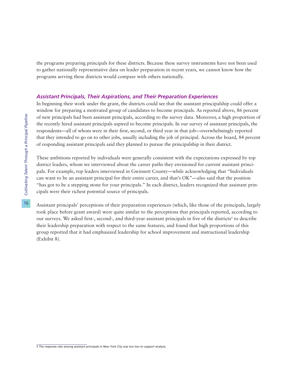the programs preparing principals for these districts. Because these survey instruments have not been used to gather nationally representative data on leader preparation in recent years, we cannot know how the programs serving these districts would compare with others nationally.

#### *Assistant Principals, Their Aspirations, and Their Preparation Experiences*

In beginning their work under the grant, the districts could see that the assistant principalship could offer a window for preparing a motivated group of candidates to become principals. As reported above, 86 percent of new principals had been assistant principals, according to the survey data. Moreover, a high proportion of the recently hired assistant principals aspired to become principals. In our survey of assistant principals, the respondents—all of whom were in their first, second, or third year in that job—overwhelmingly reported that they intended to go on to other jobs, usually including the job of principal. Across the board, 84 percent of responding assistant principals said they planned to pursue the principalship in their district.

These ambitions reported by individuals were generally consistent with the expectations expressed by top district leaders, whom we interviewed about the career paths they envisioned for current assistant principals. For example, top leaders interviewed in Gwinnett County—while acknowledging that "Individuals can want to be an assistant principal for their entire career, and that's OK"—also said that the position "has got to be a stepping stone for your principals." In each district, leaders recognized that assistant principals were their richest potential source of principals.

Assistant principals' perceptions of their preparation experiences (which, like those of the principals, largely took place before grant award) were quite similar to the perceptions that principals reported, according to our surveys. We asked first-, second-, and third-year assistant principals in five of the districts<sup>5</sup> to describe their leadership preparation with respect to the same features, and found that high proportions of this group reported that it had emphasized leadership for school improvement and instructional leadership (Exhibit 8).

<sup>5</sup> The response rate among assistant principals in New York City was too low to support analysis.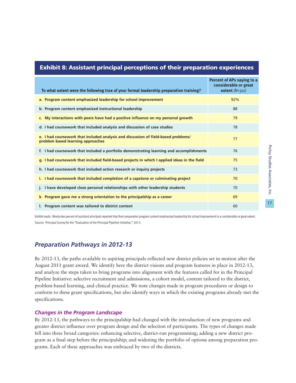# **Exhibit 8: Assistant principal perceptions of their preparation experiences**

| To what extent were the following true of your formal leadership preparation training?                                  | Percent of APs saving to a<br>considerable or great<br>extent $(N=321)$ |
|-------------------------------------------------------------------------------------------------------------------------|-------------------------------------------------------------------------|
| a. Program content emphasized leadership for school improvement                                                         | 92%                                                                     |
| b. Program content emphasized instructional leadership                                                                  | 88                                                                      |
| c. My interactions with peers have had a positive influence on my personal growth                                       | 79                                                                      |
| d. I had coursework that included analysis and discussion of case studies                                               | 78                                                                      |
| e. I had coursework that included analysis and discussion of field-based problems/<br>problem based learning approaches | 77                                                                      |
| f. I had coursework that included a portfolio demonstrating learning and accomplishments                                | 76                                                                      |
| g. I had coursework that included field-based projects in which I applied ideas in the field                            | 75                                                                      |
| h. I had coursework that included action research or inquiry projects                                                   | 73                                                                      |
| i. I had coursework that included completion of a capstone or culminating project                                       | 70                                                                      |
| j. I have developed close personal relationships with other leadership students                                         | 70                                                                      |
| k. Program gave me a strong orientation to the principalship as a career                                                | 69                                                                      |
| I. Program content was tailored to district context                                                                     | 60                                                                      |

Exhibit reads: Ninety-two percent of assistant principals reported that their preparation program content emphasized leadership for school improvement to a considerable or great extent. Source: Principal Survey for the "Evaluation of the Principal Pipeline Initiative," 2013.

# *Preparation Pathways in 2012-13*

By 2012-13, the paths available to aspiring principals reflected new district policies set in motion after the August 2011 grant award. We identify here the district visions and program features in place in 2012-13, and analyze the steps taken to bring programs into alignment with the features called for in the Principal Pipeline Initiative: selective recruitment and admissions, a cohort model, content tailored to the district, problem-based learning, and clinical practice. We note changes made in program procedures or design to conform to these grant specifications, but also identify ways in which the existing programs already met the specifications.

## *Changes in the Program Landscape*

By 2012-13, the pathways to the principalship had changed with the introduction of new programs and greater district influence over program design and the selection of participants. The types of changes made fell into three broad categories: enhancing selective, district-run programming; adding a new district program as a final step before the principalship; and widening the portfolio of options among preparation programs. Each of these approaches was embraced by two of the districts.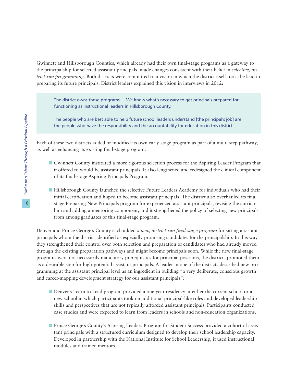Gwinnett and Hillsborough Counties, which already had their own final-stage programs as a gateway to the principalship for selected assistant principals, made changes consistent with their belief in *selective, district-run programming*. Both districts were committed to a vision in which the district itself took the lead in preparing its future principals. District leaders explained this vision in interviews in 2012:

The district owns those programs…. We know what's necessary to get principals prepared for functioning as instructional leaders in Hillsborough County.

The people who are best able to help future school leaders understand [the principal's job] are the people who have the responsibility and the accountability for education in this district.

Each of these two districts added or modified its own early-stage program as part of a multi-step pathway, as well as enhancing its existing final-stage program.

- Gwinnett County instituted a more rigorous selection process for the Aspiring Leader Program that it offered to would-be assistant principals. It also lengthened and redesigned the clinical component of its final-stage Aspiring Principals Program.
- Hillsborough County launched the selective Future Leaders Academy for individuals who had their initial certification and hoped to become assistant principals. The district also overhauled its finalstage Preparing New Principals program for experienced assistant principals, revising the curriculum and adding a mentoring component, and it strengthened the policy of selecting new principals from among graduates of this final-stage program.

Denver and Prince George's County each added *a new, district-run final-stage program* for sitting assistant principals whom the district identified as especially promising candidates for the principalship. In this way they strengthened their control over both selection and preparation of candidates who had already moved through the existing preparation pathways and might become principals soon. While the new final-stage programs were not necessarily mandatory prerequisites for principal positions, the districts promoted them as a desirable step for high-potential assistant principals. A leader in one of the districts described new programming at the assistant principal level as an ingredient in building "a very deliberate, conscious growth and career-mapping development strategy for our assistant principals":

- Denver's Learn to Lead program provided a one-year residency at either the current school or a new school in which participants took on additional principal-like roles and developed leadership skills and perspectives that are not typically afforded assistant principals. Participants conducted case studies and were expected to learn from leaders in schools and non-education organizations.
- Prince George's County's Aspiring Leaders Program for Student Success provided a cohort of assistant principals with a structured curriculum designed to develop their school leadership capacity. Developed in partnership with the National Institute for School Leadership, it used instructional modules and trained mentors.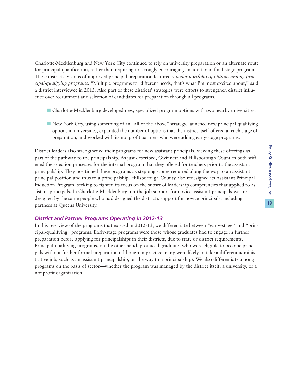Charlotte-Mecklenburg and New York City continued to rely on university preparation or an alternate route for principal qualification, rather than requiring or strongly encouraging an additional final-stage program. These districts' visions of improved principal preparation featured *a wider portfolio of options among principal-qualifying programs.* "Multiple programs for different needs, that's what I'm most excited about," said a district interviewee in 2013. Also part of these districts' strategies were efforts to strengthen district influence over recruitment and selection of candidates for preparation through all programs.

- Charlotte-Mecklenburg developed new, specialized program options with two nearby universities.
- New York City, using something of an "all-of-the-above" strategy, launched new principal-qualifying options in universities, expanded the number of options that the district itself offered at each stage of preparation, and worked with its nonprofit partners who were adding early-stage programs.

District leaders also strengthened their programs for new assistant principals, viewing these offerings as part of the pathway to the principalship. As just described, Gwinnett and Hillsborough Counties both stiffened the selection processes for the internal program that they offered for teachers prior to the assistant principalship. They positioned these programs as stepping stones required along the way to an assistant principal position and thus to a principalship. Hillsborough County also redesigned its Assistant Principal Induction Program, seeking to tighten its focus on the subset of leadership competencies that applied to assistant principals. In Charlotte-Mecklenburg, on-the-job support for novice assistant principals was redesigned by the same people who had designed the district's support for novice principals, including partners at Queens University.

#### *District and Partner Programs Operating in 2012-13*

In this overview of the programs that existed in 2012-13, we differentiate between "early-stage" and "principal-qualifying" programs. Early-stage programs were those whose graduates had to engage in further preparation before applying for principalships in their districts, due to state or district requirements. Principal-qualifying programs, on the other hand, produced graduates who were eligible to become principals without further formal preparation (although in practice many were likely to take a different administrative job, such as an assistant principalship, on the way to a principalship). We also differentiate among programs on the basis of sector—whether the program was managed by the district itself, a university, or a nonprofit organization.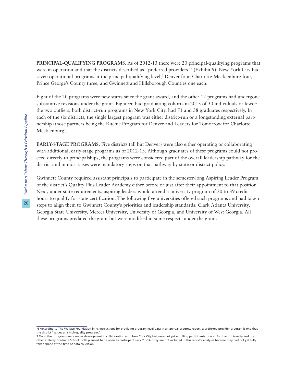**PRINCIPAL-QUALIFYING PROGRAMS.** As of 2012-13 there were 20 principal-qualifying programs that were in operation and that the districts described as "preferred providers"6 (Exhibit 9). New York City had seven operational programs at the principal-qualifying level, <sup>7</sup> Denver four, Charlotte-Mecklenburg four, Prince George's County three, and Gwinnett and Hillsborough Counties one each.

Eight of the 20 programs were new starts since the grant award, and the other 12 programs had undergone substantive revisions under the grant. Eighteen had graduating cohorts in 2013 of 30 individuals or fewer; the two outliers, both district-run programs in New York City, had 71 and 38 graduates respectively. In each of the six districts, the single largest program was either district-run or a longstanding external partnership (those partners being the Ritchie Program for Denver and Leaders for Tomorrow for Charlotte-Mecklenburg).

**EARLY-STAGE PROGRAMS.** Five districts (all but Denver) were also either operating or collaborating with additional, early-stage programs as of 2012-13. Although graduates of these programs could not proceed directly to principalships, the programs were considered part of the overall leadership pathway for the district and in most cases were mandatory steps on that pathway by state or district policy.

Gwinnett County required assistant principals to participate in the semester-long Aspiring Leader Program of the district's Quality-Plus Leader Academy either before or just after their appointment to that position. Next, under state requirements, aspiring leaders would attend a university program of 30 to 39 credit hours to qualify for state certification. The following five universities offered such programs and had taken steps to align them to Gwinnett County's priorities and leadership standards: Clark Atlanta University, Georgia State University, Mercer University, University of Georgia, and University of West Georgia. All these programs predated the grant but were modified in some respects under the grant.

<sup>6</sup> According to The Wallace Foundation in its instructions for providing program-level data in an annual progress report, a preferred provider program is one that the district "values as a high-quality program.".

<sup>7</sup> Two other programs were under development in collaboration with New York City but were not yet enrolling participants: one at Fordham University and the other at Relay Graduate School. Both planned to be open to participants in 2013-14. They are not included in this report's analyses because they had not yet fully taken shape at the time of data collection.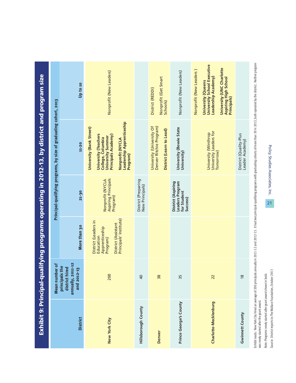|                            |                                                                      |                                                                                                                  |                                                                  | Exhibit 9: Principal-qualifying programs operating in 2012-13, by district and program size                                                                                                                |                                                                                                                                                                                |
|----------------------------|----------------------------------------------------------------------|------------------------------------------------------------------------------------------------------------------|------------------------------------------------------------------|------------------------------------------------------------------------------------------------------------------------------------------------------------------------------------------------------------|--------------------------------------------------------------------------------------------------------------------------------------------------------------------------------|
|                            | Mean number of                                                       |                                                                                                                  |                                                                  | Principal-qualifying programs, by size of graduating cohort, 2013                                                                                                                                          |                                                                                                                                                                                |
| <b>District</b>            | annually, 2011-12<br>principals the<br>district hired<br>and 2012-13 | More than 30                                                                                                     | $21 - 30$                                                        | 11-20                                                                                                                                                                                                      | Up to 10                                                                                                                                                                       |
| New York City              | 200                                                                  | District (Assistant<br>Principals' Institute)<br>District (Leaders in<br>Apprenticeship<br>Education<br>Program) | Aspiring Principals<br>Nonprofit (NYCLA<br>Program)              | Leadership Apprenticeship<br><b>University (Bank Street)</b><br><b>University (Teachers</b><br><b>Principals Academy)</b><br><b>University Summer</b><br>College, Columbia<br>Nonprofit (NYCLA<br>Program) | Nonprofit (New Leaders)                                                                                                                                                        |
| <b>Hillsborough County</b> | 40                                                                   |                                                                                                                  | District (Preparing<br>New Principals)                           |                                                                                                                                                                                                            |                                                                                                                                                                                |
| <b>Denver</b>              | 38                                                                   |                                                                                                                  |                                                                  | Denver Ritchie Program)<br>University (University Of<br>District (Learn to Lead)                                                                                                                           | Nonprofit (Get Smart<br>Schools)<br>District (REDDI)                                                                                                                           |
| Prince George's County     | 35                                                                   |                                                                                                                  | District (Aspiring<br>Leaders Program<br>for Student<br>Success) | University (Bowie State<br>University)                                                                                                                                                                     | Nonprofit (New Leaders)                                                                                                                                                        |
| Charlotte-Mecklenburg      | 22                                                                   |                                                                                                                  |                                                                  | University (Winthrop<br>University Leaders for<br>Tomorrow)                                                                                                                                                | University School Executive<br>University (UNC Charlotte<br>Nonprofit (New Leaders)<br>Leadership Academy)<br>Aspiring High School<br>Principals)<br><b>University (Queens</b> |
| Gwinnett County            | $\infty$                                                             |                                                                                                                  |                                                                  | District (Quality-Plus<br>Leader Academy)                                                                                                                                                                  |                                                                                                                                                                                |

Exhibit reads: New York City hired an average of 200 principals amually in 2011-12 and 2012-13. It had two principal-qualifying programs with graduating cohorts of more than 30 in 2013, both operated by the district. Neith Exhibit reads: New York City hired an average of 200 principals annually in 2011-12 and 2013-13. It had two principal-qualifying programs with graduating cohorts of more than 30 in 2013, both operated by the district. Neit was newly started after the grant award.

Note: Programs newly started after grant award shown in bold. Note: Programs newly started after grant award shown in bold.

Source: District reports to The Wallace Foundation, October 2013 Source: District reports to The Wallace Foundation, October 2013

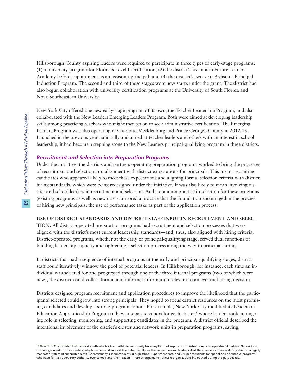Hillsborough County aspiring leaders were required to participate in three types of early-stage programs: (1) a university program for Florida's Level I certification; (2) the district's six-month Future Leaders Academy before appointment as an assistant principal; and (3) the district's two-year Assistant Principal Induction Program. The second and third of these stages were new starts under the grant. The district had also begun collaboration with university certification programs at the University of South Florida and Nova Southeastern University.

New York City offered one new early-stage program of its own, the Teacher Leadership Program, and also collaborated with the New Leaders Emerging Leaders Program. Both were aimed at developing leadership skills among practicing teachers who might then go on to seek administrative certification. The Emerging Leaders Program was also operating in Charlotte-Mecklenburg and Prince George's County in 2012-13. Launched in the previous year nationally and aimed at teacher leaders and others with an interest in school leadership, it had become a stepping stone to the New Leaders principal-qualifying program in these districts.

### *Recruitment and Selection into Preparation Programs*

Under the initiative, the districts and partners operating preparation programs worked to bring the processes of recruitment and selection into alignment with district expectations for principals. This meant recruiting candidates who appeared likely to meet these expectations and aligning formal selection criteria with district hiring standards, which were being redesigned under the initiative. It was also likely to mean involving district and school leaders in recruitment and selection. And a common practice in selection for these programs (existing programs as well as new ones) mirrored a practice that the Foundation encouraged in the process of hiring new principals: the use of performance tasks as part of the application process.

## **USE OF DISTRICT STANDARDS AND DISTRICT STAFF INPUT IN RECRUITMENT AND SELEC-**

**TION.** All district-operated preparation programs had recruitment and selection processes that were aligned with the district's most current leadership standards—and, thus, also aligned with hiring criteria. District-operated programs, whether at the early or principal-qualifying stage, served dual functions of building leadership capacity and tightening a selection process along the way to principal hiring.

In districts that had a sequence of internal programs at the early and principal-qualifying stages, district staff could iteratively winnow the pool of potential leaders. In Hillsborough, for instance, each time an individual was selected for and progressed through one of the three internal programs (two of which were new), the district could collect formal and informal information relevant to an eventual hiring decision.

Districts designed program recruitment and application procedures to improve the likelihood that the participants selected could grow into strong principals. They hoped to focus district resources on the most promising candidates and develop a strong program cohort. For example, New York City modified its Leaders in Education Apprenticeship Program to have a separate cohort for each cluster, <sup>8</sup> whose leaders took an ongoing role in selecting, monitoring, and supporting candidates in the program. A district official described the intentional involvement of the district's cluster and network units in preparation programs, saying:

<sup>8</sup> New York City has about 60 networks with which schools affiliate voluntarily for many kinds of support with instructional and operational matters. Networks in turn are grouped into five clusters, which oversee and support the networks. Under the system's overall leader, called the chancellor, New York City also has a legally mandated system of superintendents (32 community superintendents, 8 high school superintendents, and 2 superintendents for special and alternative programs) who have formal supervisory authority over schools and their leaders. These arrangements reflect reorganizations introduced during the past decade.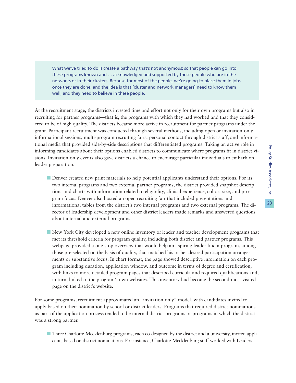What we've tried to do is create a pathway that's not anonymous; so that people can go into these programs known and … acknowledged and supported by those people who are in the networks or in their clusters. Because for most of the people, we're going to place them in jobs once they are done, and the idea is that [cluster and network managers] need to know them well, and they need to believe in these people.

At the recruitment stage, the districts invested time and effort not only for their own programs but also in recruiting for partner programs—that is, the programs with which they had worked and that they considered to be of high quality. The districts became more active in recruitment for partner programs under the grant. Participant recruitment was conducted through several methods, including open or invitation-only informational sessions, multi-program recruiting fairs, personal contact through district staff, and informational media that provided side-by-side descriptions that differentiated programs. Taking an active role in informing candidates about their options enabled districts to communicate where programs fit in district visions. Invitation-only events also gave districts a chance to encourage particular individuals to embark on leader preparation.

- Denver created new print materials to help potential applicants understand their options. For its two internal programs and two external partner programs, the district provided snapshot descriptions and charts with information related to eligibility, clinical experience, cohort size, and program focus. Denver also hosted an open recruiting fair that included presentations and informational tables from the district's two internal programs and two external programs. The director of leadership development and other district leaders made remarks and answered questions about internal and external programs.
- New York City developed a new online inventory of leader and teacher development programs that met its threshold criteria for program quality, including both district and partner programs. This webpage provided a one-stop overview that would help an aspiring leader find a program, among those pre-selected on the basis of quality, that matched his or her desired participation arrangements or substantive focus. In chart format, the page showed descriptive information on each program including duration, application window, and outcome in terms of degree and certification, with links to more detailed program pages that described curricula and required qualifications and, in turn, linked to the program's own websites. This inventory had become the second-most visited page on the district's website.

For some programs, recruitment approximated an "invitation-only" model, with candidates invited to apply based on their nomination by school or district leaders. Programs that required district nominations as part of the application process tended to be internal district programs or programs in which the district was a strong partner.

■ Three Charlotte-Mecklenburg programs, each co-designed by the district and a university, invited applicants based on district nominations. For instance, Charlotte-Mecklenburg staff worked with Leaders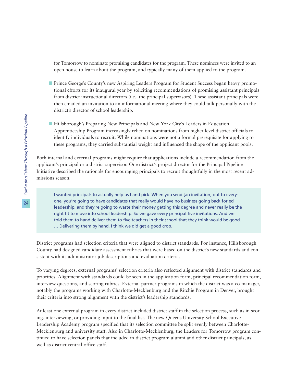for Tomorrow to nominate promising candidates for the program. These nominees were invited to an open house to learn about the program, and typically many of them applied to the program.

- Prince George's County's new Aspiring Leaders Program for Student Success began heavy promotional efforts for its inaugural year by soliciting recommendations of promising assistant principals from district instructional directors (i.e., the principal supervisors). These assistant principals were then emailed an invitation to an informational meeting where they could talk personally with the district's director of school leadership.
- Hillsborough's Preparing New Principals and New York City's Leaders in Education Apprenticeship Program increasingly relied on nominations from higher-level district officials to identify individuals to recruit. While nominations were not a formal prerequisite for applying to these programs, they carried substantial weight and influenced the shape of the applicant pools.

Both internal and external programs might require that applications include a recommendation from the applicant's principal or a district supervisor. One district's project director for the Principal Pipeline Initiative described the rationale for encouraging principals to recruit thoughtfully in the most recent admissions season:

I wanted principals to actually help us hand pick. When you send [an invitation] out to everyone, you're going to have candidates that really would have no business going back for ed leadership, and they're going to waste their money getting this degree and never really be the right fit to move into school leadership. So we gave every principal five invitations. And we told them to hand deliver them to five teachers in their school that they think would be good. … Delivering them by hand, I think we did get a good crop.

District programs had selection criteria that were aligned to district standards. For instance, Hillsborough County had designed candidate assessment rubrics that were based on the district's new standards and consistent with its administrator job descriptions and evaluation criteria.

To varying degrees, external programs' selection criteria also reflected alignment with district standards and priorities. Alignment with standards could be seen in the application form, principal recommendation form, interview questions, and scoring rubrics. External partner programs in which the district was a co-manager, notably the programs working with Charlotte-Mecklenburg and the Ritchie Program in Denver, brought their criteria into strong alignment with the district's leadership standards.

At least one external program in every district included district staff in the selection process, such as in scoring, interviewing, or providing input to the final list. The new Queens University School Executive Leadership Academy program specified that its selection committee be split evenly between Charlotte-Mecklenburg and university staff. Also in Charlotte-Mecklenburg, the Leaders for Tomorrow program continued to have selection panels that included in-district program alumni and other district principals, as well as district central-office staff.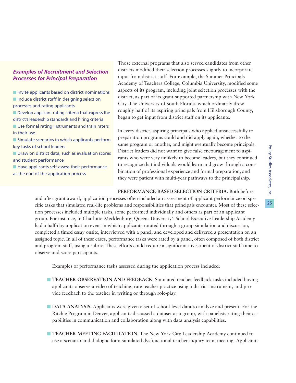## *Examples of Recruitment and Selection Processes for Principal Preparation*

■ Invite applicants based on district nominations ■ Include district staff in designing selection processes and rating applicants

■ Develop applicant rating criteria that express the district's leadership standards and hiring criteria

■ Use formal rating instruments and train raters in their use

■ Simulate scenarios in which applicants perform key tasks of school leaders

■ Draw on district data, such as evaluation scores and student performance

■ Have applicants self-assess their performance at the end of the application process

Those external programs that also served candidates from other districts modified their selection processes slightly to incorporate input from district staff. For example, the Summer Principals Academy of Teachers College, Columbia University, modified some aspects of its program, including joint selection processes with the district, as part of its grant-supported partnership with New York City. The University of South Florida, which ordinarily drew roughly half of its aspiring principals from Hillsborough County, began to get input from district staff on its applicants.

In every district, aspiring principals who applied unsuccessfully to preparation programs could and did apply again, whether to the same program or another, and might eventually become principals. District leaders did not want to give false encouragement to aspirants who were very unlikely to become leaders, but they continued to recognize that individuals would learn and grow through a combination of professional experience and formal preparation, and they were patient with multi-year pathways to the principalship.

**PERFORMANCE-BASED SELECTION CRITERIA.** Both before

and after grant award, application processes often included an assessment of applicant performance on specific tasks that simulated real-life problems and responsibilities that principals encounter. Most of these selection processes included multiple tasks, some performed individually and others as part of an applicant group. For instance, in Charlotte-Mecklenburg, Queens University's School Executive Leadership Academy had a half-day application event in which applicants rotated through a group simulation and discussion, completed a timed essay onsite, interviewed with a panel, and developed and delivered a presentation on an assigned topic. In all of these cases, performance tasks were rated by a panel, often composed of both district and program staff, using a rubric. These efforts could require a significant investment of district staff time to observe and score participants.

Examples of performance tasks assessed during the application process included:

- **TEACHER OBSERVATION AND FEEDBACK**. Simulated teacher feedback tasks included having applicants observe a video of teaching, rate teacher practice using a district instrument, and provide feedback to the teacher in writing or through role-play.
- **DATA ANALYSIS.** Applicants were given a set of school-level data to analyze and present. For the Ritchie Program in Denver, applicants discussed a dataset as a group, with panelists rating their capabilities in communication and collaboration along with data analysis capabilities.
- **TEACHER MEETING FACILITATION.** The New York City Leadership Academy continued to use a scenario and dialogue for a simulated dysfunctional teacher inquiry team meeting. Applicants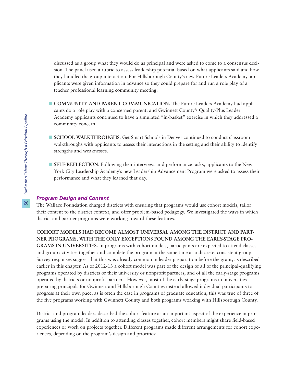discussed as a group what they would do as principal and were asked to come to a consensus decision. The panel used a rubric to assess leadership potential based on what applicants said and how they handled the group interaction. For Hillsborough County's new Future Leaders Academy, applicants were given information in advance so they could prepare for and run a role play of a teacher professional learning community meeting.

- **COMMUNITY AND PARENT COMMUNICATION.** The Future Leaders Academy had applicants do a role play with a concerned parent, and Gwinnett County's Quality-Plus Leader Academy applicants continued to have a simulated "in-basket" exercise in which they addressed a community concern.
- **SCHOOL WALKTHROUGHS.** Get Smart Schools in Denver continued to conduct classroom walkthroughs with applicants to assess their interactions in the setting and their ability to identify strengths and weaknesses.
- **SELF-REFLECTION.** Following their interviews and performance tasks, applicants to the New York City Leadership Academy's new Leadership Advancement Program were asked to assess their performance and what they learned that day.

#### *Program Design and Content*

The Wallace Foundation charged districts with ensuring that programs would use cohort models, tailor their content to the district context, and offer problem-based pedagogy. We investigated the ways in which district and partner programs were working toward these features.

## **COHORT MODELS HAD BECOME ALMOST UNIVERSAL AMONG THE DISTRICT AND PART-NER PROGRAMS, WITH THE ONLY EXCEPTIONS FOUND AMONG THE EARLY-STAGE PRO-**

**GRAMS IN UNIVERSITIES.** In programs with cohort models, participants are expected to attend classes and group activities together and complete the program at the same time as a discrete, consistent group. Survey responses suggest that this was already common in leader preparation before the grant, as described earlier in this chapter. As of 2012-13 a cohort model was part of the design of all of the principal-qualifying programs operated by districts or their university or nonprofit partners, and of all the early-stage programs operated by districts or nonprofit partners. However, most of the early-stage programs in universities preparing principals for Gwinnett and Hillsborough Counties instead allowed individual participants to progress at their own pace, as is often the case in programs of graduate education; this was true of three of the five programs working with Gwinnett County and both programs working with Hillsborough County.

District and program leaders described the cohort feature as an important aspect of the experience in programs using the model. In addition to attending classes together, cohort members might share field-based experiences or work on projects together. Different programs made different arrangements for cohort experiences, depending on the program's design and priorities: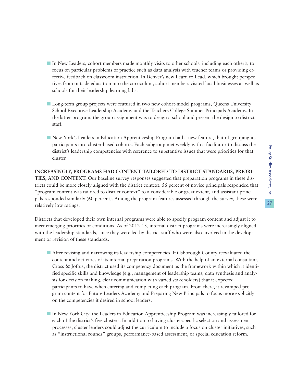- In New Leaders, cohort members made monthly visits to other schools, including each other's, to focus on particular problems of practice such as data analysis with teacher teams or providing effective feedback on classroom instruction. In Denver's new Learn to Lead, which brought perspectives from outside education into the curriculum, cohort members visited local businesses as well as schools for their leadership learning labs.
- Long-term group projects were featured in two new cohort-model programs, Queens University School Executive Leadership Academy and the Teachers College Summer Principals Academy. In the latter program, the group assignment was to design a school and present the design to district staff.
- New York's Leaders in Education Apprenticeship Program had a new feature, that of grouping its participants into cluster-based cohorts. Each subgroup met weekly with a facilitator to discuss the district's leadership competencies with reference to substantive issues that were priorities for that cluster.

I**NCREASINGLY, PROGRAMS HAD CONTENT TAILORED TO DISTRICT STANDARDS, PRIORI-TIES, AND CONTEXT.** Our baseline survey responses suggested that preparation programs in these districts could be more closely aligned with the district context: 56 percent of novice principals responded that "program content was tailored to district context" to a considerable or great extent, and assistant principals responded similarly (60 percent). Among the program features assessed through the survey, these were relatively low ratings.

Districts that developed their own internal programs were able to specify program content and adjust it to meet emerging priorities or conditions. As of 2012-13, internal district programs were increasingly aligned with the leadership standards, since they were led by district staff who were also involved in the development or revision of these standards.

- After revising and narrowing its leadership competencies, Hillsborough County reevaluated the content and activities of its internal preparation programs. With the help of an external consultant, Cross & Joftus, the district used its competency document as the framework within which it identified specific skills and knowledge (e.g., management of leadership teams, data synthesis and analysis for decision making, clear communication with varied stakeholders) that it expected participants to have when entering and completing each program. From there, it revamped program content for Future Leaders Academy and Preparing New Principals to focus more explicitly on the competencies it desired in school leaders.
- In New York City, the Leaders in Education Apprenticeship Program was increasingly tailored for each of the district's five clusters. In addition to having cluster-specific selection and assessment processes, cluster leaders could adjust the curriculum to include a focus on cluster initiatives, such as "instructional rounds" groups, performance-based assessment, or special education reform.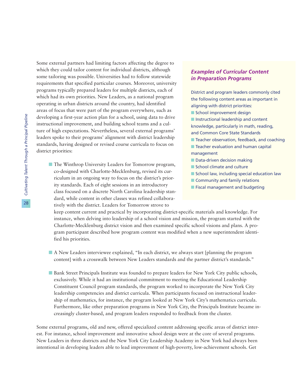Some external partners had limiting factors affecting the degree to which they could tailor content for individual districts, although some tailoring was possible. Universities had to follow statewide requirements that specified particular courses. Moreover, university programs typically prepared leaders for multiple districts, each of which had its own priorities. New Leaders, as a national program operating in urban districts around the country, had identified areas of focus that were part of the program everywhere, such as developing a first-year action plan for a school, using data to drive instructional improvement, and building school teams and a culture of high expectations. Nevertheless, several external programs' leaders spoke to their programs' alignment with district leadership standards, having designed or revised course curricula to focus on district priorities:

■ The Winthrop University Leaders for Tomorrow program, co-designed with Charlotte-Mecklenburg, revised its curriculum in an ongoing way to focus on the district's priority standards. Each of eight sessions in an introductory class focused on a discrete North Carolina leadership standard, while content in other classes was refined collaboratively with the district. Leaders for Tomorrow strove to

## *Examples of Curricular Content in Preparation Programs*

District and program leaders commonly cited the following content areas as important in aligning with district priorities:

■ School improvement design

■ Instructional leadership and content knowledge, particularly in math, reading, and Common Core State Standards

■ Teacher observation, feedback, and coaching

■ Teacher evaluation and human capital management

- Data-driven decision making
- School climate and culture
- School law, including special education law
- Community and family relations
- Fiscal management and budgeting

keep content current and practical by incorporating district-specific materials and knowledge. For instance, when delving into leadership of a school vision and mission, the program started with the Charlotte-Mecklenburg district vision and then examined specific school visions and plans. A program participant described how program content was modified when a new superintendent identified his priorities.

■ A New Leaders interviewee explained, "In each district, we always start [planning the program content] with a crosswalk between New Leaders standards and the partner district's standards."

■ Bank Street Principals Institute was founded to prepare leaders for New York City public schools, exclusively. While it had an institutional commitment to meeting the Educational Leadership Constituent Council program standards, the program worked to incorporate the New York City leadership competencies and district curricula. When participants focused on instructional leadership of mathematics, for instance, the program looked at New York City's mathematics curricula. Furthermore, like other preparation programs in New York City, the Principals Institute became increasingly cluster-based, and program leaders responded to feedback from the cluster.

Some external programs, old and new, offered specialized content addressing specific areas of district interest. For instance, school improvement and innovative school design were at the core of several programs. New Leaders in three districts and the New York City Leadership Academy in New York had always been intentional in developing leaders able to lead improvement of high-poverty, low-achievement schools. Get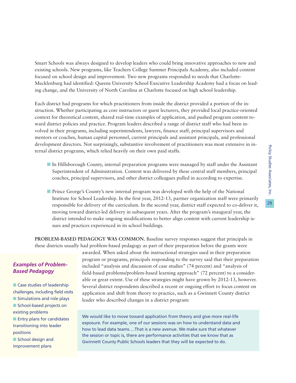Smart Schools was always designed to develop leaders who could bring innovative approaches to new and existing schools. New programs, like Teachers College Summer Principals Academy, also included content focused on school design and improvement. Two new programs responded to needs that Charlotte-Mecklenburg had identified: Queens University School Executive Leadership Academy had a focus on leading change, and the University of North Carolina at Charlotte focused on high school leadership.

Each district had programs for which practitioners from inside the district provided a portion of the instruction. Whether participating as core instructors or guest lecturers, they provided local practice-oriented context for theoretical content, shared real-time examples of application, and pushed program content toward district policies and practice. Program leaders described a range of district staff who had been involved in their programs, including superintendents, lawyers, finance staff, principal supervisors and mentors or coaches, human capital personnel, current principals and assistant principals, and professional development directors. Not surprisingly, substantive involvement of practitioners was most extensive in internal district programs, which relied heavily on their own paid staffs.

- In Hillsborough County, internal preparation programs were managed by staff under the Assistant Superintendent of Administration. Content was delivered by these central staff members, principal coaches, principal supervisors, and other district colleagues pulled in according to expertise.
- Prince George's County's new internal program was developed with the help of the National Institute for School Leadership. In the first year, 2012-13, partner organization staff were primarily responsible for delivery of the curriculum. In the second year, district staff expected to co-deliver it, moving toward district-led delivery in subsequent years. After the program's inaugural year, the district intended to make ongoing modifications to better align content with current leadership issues and practices experienced in its school buildings.

**PROBLEM-BASED PEDAGOGY WAS COMMON.** Baseline survey responses suggest that principals in these districts usually had problem-based pedagogy as part of their preparation before the grants were

*Examples of Problem-Based Pedagogy*

■ Case studies of leadership challenges, including field visits ■ Simulations and role plays ■ School-based projects on existing problems

■ Entry plans for candidates transitioning into leader positions

■ School design and improvement plans

able or great extent. Use of these strategies might have grown by 2012-13, however. Several district respondents described a recent or ongoing effort to focus content on application and shift from theory to practice, such as a Gwinnett County district leader who described changes in a district program: We would like to move toward application from theory and give more real-life

awarded. When asked about the instructional strategies used in their preparation program or programs, principals responding to the survey said that their preparation included "analysis and discussion of case studies" (74 percent) and "analysis of field-based problems/problem-based learning approach" (72 percent) to a consider-

exposure. For example, one of our sessions was on how to understand data and how to lead data teams….That is a new avenue. We make sure that whatever the session or topic is, there are performance activities that we know that as Gwinnett County Public Schools leaders that they will be expected to do.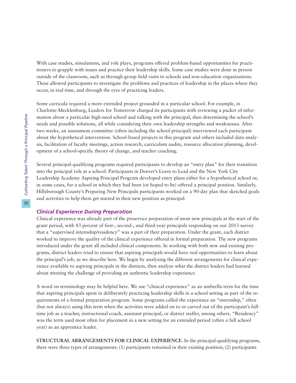With case studies, simulations, and role plays, programs offered problem-based opportunities for practitioners to grapple with issues and practice their leadership skills. Some case studies were done in person outside of the classroom, such as through group field visits to schools and non-education organizations. These allowed participants to investigate the problems and practices of leadership in the places where they occur, in real time, and through the eyes of practicing leaders.

Some curricula required a more extended project grounded in a particular school. For example, in Charlotte-Mecklenburg, Leaders for Tomorrow charged its participants with reviewing a packet of information about a particular high-need school and talking with the principal, then determining the school's needs and possible solutions, all while considering their own leadership strengths and weaknesses. After two weeks, an assessment committee (often including the school principal) interviewed each participant about the hypothetical intervention. School-based projects in this program and others included data analysis, facilitation of faculty meetings, action research, curriculum audits, resource allocation planning, development of a school-specific theory of change, and teacher coaching.

Several principal-qualifying programs required participants to develop an "entry plan" for their transition into the principal role at a school. Participants in Denver's Learn to Lead and the New York City Leadership Academy Aspiring Principal Program developed entry plans either for a hypothetical school or, in some cases, for a school in which they had been (or hoped to be) offered a principal position. Similarly, Hillsborough County's Preparing New Principals participants worked on a 90-day plan that sketched goals and activities to help them get started in their new position as principal.

### *Clinical Experience During Preparation*

Clinical experience was already part of the preservice preparation of most new principals at the start of the grant period, with 83 percent of first-, second-, and third-year principals responding on our 2013 survey that a "supervised internship/residency" was a part of their preparation. Under the grant, each district worked to improve the quality of the clinical experience offered in formal preparation. The new programs introduced under the grant all included clinical components. In working with both new and existing programs, district leaders tried to ensure that aspiring principals would have real opportunities to learn about the principal's job, as we describe here. We begin by analyzing the different arrangements for clinical experience available to aspiring principals in the districts, then analyze what the district leaders had learned about meeting the challenge of providing an authentic leadership experience.

A word on terminology may be helpful here. We use "clinical experience" as an umbrella term for the time that aspiring principals spent in deliberately practicing leadership skills in a school setting as part of the requirements of a formal preparation program. Some programs called the experience an "internship," often (but not always) using this term when the activities were added on to or carved out of the participant's fulltime job as a teacher, instructional coach, assistant principal, or district staffer, among others. "Residency" was the term used most often for placement in a new setting for an extended period (often a full school year) as an apprentice leader.

**STRUCTURAL ARRANGEMENTS FOR CLINICAL EXPERIENCE.** In the principal-qualifying programs, there were three types of arrangements: (1) participants remained in their existing position; (2) participants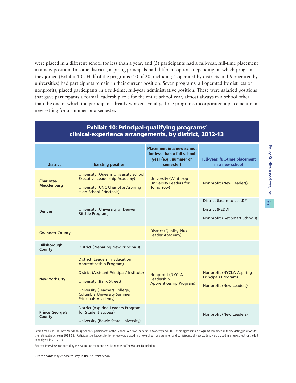were placed in a different school for less than a year; and (3) participants had a full-year, full-time placement in a new position. In some districts, aspiring principals had different options depending on which program they joined (Exhibit 10). Half of the programs (10 of 20, including 4 operated by districts and 6 operated by universities) had participants remain in their current position. Seven programs, all operated by districts or nonprofits, placed participants in a full-time, full-year administrative position. These were salaried positions that gave participants a formal leadership role for the entire school year, almost always in a school other than the one in which the participant already worked. Finally, three programs incorporated a placement in a new setting for a summer or a semester.

| <b>District</b>                  | <b>Existing position</b>                                                                                                                                                                                                                              | <b>Placement in a new school</b><br>for less than a full school<br>year (e.g., summer or<br>semester) | <b>Full-year, full-time placement</b><br>in a new school                                   |
|----------------------------------|-------------------------------------------------------------------------------------------------------------------------------------------------------------------------------------------------------------------------------------------------------|-------------------------------------------------------------------------------------------------------|--------------------------------------------------------------------------------------------|
| Charlotte-<br><b>Mecklenburg</b> | University (Queens University School<br><b>Executive Leadership Academy)</b><br><b>University (UNC Charlotte Aspiring</b><br><b>High School Principals)</b>                                                                                           | <b>University (Winthrop</b><br><b>University Leaders for</b><br>Tomorrow)                             | Nonprofit (New Leaders)                                                                    |
| <b>Denver</b>                    | University (University of Denver<br>Ritchie Program)                                                                                                                                                                                                  |                                                                                                       | District (Learn to Lead) <sup>9</sup><br>District (REDDI)<br>Nonprofit (Get Smart Schools) |
| <b>Gwinnett County</b>           |                                                                                                                                                                                                                                                       | <b>District (Quality-Plus</b><br>Leader Academy)                                                      |                                                                                            |
| Hillsborough<br>County           | District (Preparing New Principals)                                                                                                                                                                                                                   |                                                                                                       |                                                                                            |
| <b>New York City</b>             | <b>District (Leaders in Education</b><br><b>Apprenticeship Program)</b><br>District (Assistant Principals' Institute)<br>University (Bank Street)<br>University (Teachers College,<br><b>Columbia University Summer</b><br><b>Principals Academy)</b> | <b>Nonprofit (NYCLA</b><br>Leadership<br><b>Apprenticeship Program)</b>                               | Nonprofit (NYCLA Aspiring<br><b>Principals Program)</b><br><b>Nonprofit (New Leaders)</b>  |
| <b>Prince George's</b><br>County | <b>District (Aspiring Leaders Program</b><br>for Student Success)<br>University (Bowie State University)                                                                                                                                              |                                                                                                       | Nonprofit (New Leaders)                                                                    |

## **Exhibit 10: Principal-qualifying programs' clinical-experience arrangements, by district, 2012-13**

Exhibit reads: In Charlotte-Mecklenburg Schools, participants of the School Executive Leadership Academy and UNCC Aspiring Principals programs remained in their existing positions for theirclinical practice in 2012-13. Participants ofLeaders for Tomorrow were placed in a new school for a summer, and participants of New Leaders were placed in a new school for the full schoolyear in 2012-13.

Source: Interviews conducted bythe evaluation team and district reports to The Wallace Foundation.

<sup>9</sup> Participants may choose to stay in their current school.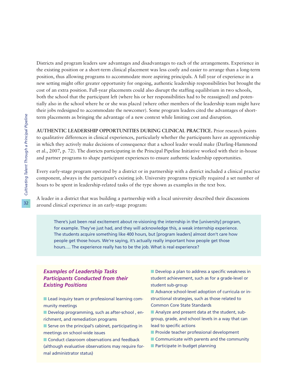Districts and program leaders saw advantages and disadvantages to each of the arrangements. Experience in the existing position or a short-term clinical placement was less costly and easier to arrange than a long-term position, thus allowing programs to accommodate more aspiring principals. A full year of experience in a new setting might offer greater opportunity for ongoing, authentic leadership responsibilities but brought the cost of an extra position. Full-year placements could also disrupt the staffing equilibrium in two schools, both the school that the participant left (where his or her responsibilities had to be reassigned) and potentially also in the school where he or she was placed (where other members of the leadership team might have their jobs redesigned to accommodate the newcomer). Some program leaders cited the advantages of shortterm placements as bringing the advantage of a new context while limiting cost and disruption.

**AUTHENTIC LEADERSHIP OPPORTUNITIES DURING CLINICAL PRACTICE.** Prior research points to qualitative differences in clinical experiences, particularly whether the participants have an apprenticeship in which they actively make decisions of consequence that a school leader would make (Darling-Hammond et al., 2007, p. 72). The districts participating in the Principal Pipeline Initiative worked with their in-house and partner programs to shape participant experiences to ensure authentic leadership opportunities.

Every early-stage program operated by a district or in partnership with a district included a clinical practice component, always in the participant's existing job. University programs typically required a set number of hours to be spent in leadership-related tasks of the type shown as examples in the text box.

A leader in a district that was building a partnership with a local university described their discussions around clinical experience in an early-stage program:

There's just been real excitement about re-visioning the internship in the [university] program, for example. They've just had, and they will acknowledge this, a weak internship experience. The students acquire something like 400 hours, but [program leaders] almost don't care how people get those hours. We're saying, it's actually really important how people get those hours…. The experience really has to be the job. What is real experience?

## *Examples of Leadership Tasks Participants Conducted from their Existing Positions*

- Lead inquiry team or professional learning community meetings
- Develop programming, such as after-school, enrichment, and remediation programs
- Serve on the principal's cabinet, participating in meetings on school-wide issues
- Conduct classroom observations and feedback (although evaluative observations may require formal administrator status)

■ Develop a plan to address a specific weakness in student achievement, such as for a grade-level or student sub-group

- Advance school-level adoption of curricula or instructional strategies, such as those related to Common Core State Standards
- Analyze and present data at the student, subgroup, grade, and school levels in a way that can lead to specific actions
- Provide teacher professional development
- Communicate with parents and the community
- Participate in budget planning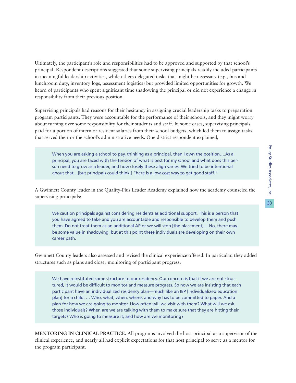Ultimately, the participant's role and responsibilities had to be approved and supported by that school's principal. Respondent descriptions suggested that some supervising principals readily included participants in meaningful leadership activities, while others delegated tasks that might be necessary (e.g., bus and lunchroom duty, inventory logs, assessment logistics) but provided limited opportunities for growth. We heard of participants who spent significant time shadowing the principal or did not experience a change in responsibility from their previous position.

Supervising principals had reasons for their hesitancy in assigning crucial leadership tasks to preparation program participants. They were accountable for the performance of their schools, and they might worry about turning over some responsibility for their students and staff. In some cases, supervising principals paid for a portion of intern or resident salaries from their school budgets, which led them to assign tasks that served their or the school's administrative needs. One district respondent explained,

When you are asking a school to pay, thinking as a principal, then I own the position....As a principal, you are faced with the tension of what is best for my school and what does this person need to grow as a leader, and how closely these align varies. We tried to be intentional about that…[but principals could think,] "here is a low-cost way to get good staff."

A Gwinnett County leader in the Quality-Plus Leader Academy explained how the academy counseled the supervising principals:

We caution principals against considering residents as additional support. This is a person that you have agreed to take and you are accountable and responsible to develop them and push them. Do not treat them as an additional AP or we will stop [the placement]… No, there may be some value in shadowing, but at this point these individuals are developing on their own career path.

Gwinnett County leaders also assessed and revised the clinical experience offered. In particular, they added structures such as plans and closer monitoring of participant progress:

We have reinstituted some structure to our residency. Our concern is that if we are not structured, it would be difficult to monitor and measure progress. So now we are insisting that each participant have an individualized residency plan—much like an IEP [individualized education plan] for a child. … Who, what, when, where, and why has to be committed to paper. And a plan for how we are going to monitor. How often will we visit with them? What will we ask those individuals? When are we are talking with them to make sure that they are hitting their targets? Who is going to measure it, and how are we monitoring?

**MENTORING IN CLINICAL PRACTICE.** All programs involved the host principal as a supervisor of the clinical experience, and nearly all had explicit expectations for that host principal to serve as a mentor for the program participant.

33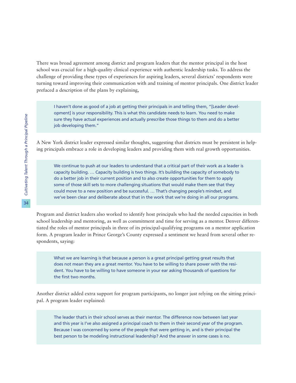There was broad agreement among district and program leaders that the mentor principal in the host school was crucial for a high-quality clinical experience with authentic leadership tasks. To address the challenge of providing these types of experiences for aspiring leaders, several districts' respondents were turning toward improving their communication with and training of mentor principals. One district leader prefaced a description of the plans by explaining,

I haven't done as good of a job at getting their principals in and telling them, "[Leader development] is your responsibility. This is what this candidate needs to learn. You need to make sure they have actual experiences and actually prescribe those things to them and do a better job developing them."

A New York district leader expressed similar thoughts, suggesting that districts must be persistent in helping principals embrace a role in developing leaders and providing them with real growth opportunities.

We continue to push at our leaders to understand that a critical part of their work as a leader is capacity building. … Capacity building is two things. It's building the capacity of somebody to do a better job in their current position and to also create opportunities for them to apply some of those skill sets to more challenging situations that would make them see that they could move to a new position and be successful. … That's changing people's mindset, and we've been clear and deliberate about that in the work that we're doing in all our programs.

Program and district leaders also worked to identify host principals who had the needed capacities in both school leadership and mentoring, as well as commitment and time for serving as a mentor. Denver differentiated the roles of mentor principals in three of its principal-qualifying programs on a mentor application form. A program leader in Prince George's County expressed a sentiment we heard from several other respondents, saying:

What we are learning is that because a person is a great principal getting great results that does not mean they are a great mentor. You have to be willing to share power with the resident. You have to be willing to have someone in your ear asking thousands of questions for the first two months.

Another district added extra support for program participants, no longer just relying on the sitting principal. A program leader explained:

The leader that's in their school serves as their mentor. The difference now between last year and this year is I've also assigned a principal coach to them in their second year of the program. Because I was concerned by some of the people that were getting in, and is their principal the best person to be modeling instructional leadership? And the answer in some cases is no.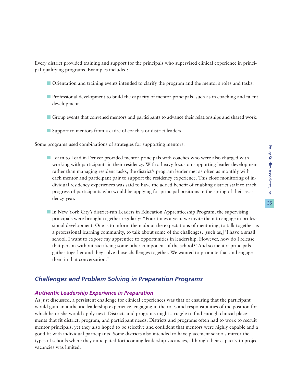Every district provided training and support for the principals who supervised clinical experience in principal-qualifying programs. Examples included:

- Orientation and training events intended to clarify the program and the mentor's roles and tasks.
- Professional development to build the capacity of mentor principals, such as in coaching and talent development.
- Group events that convened mentors and participants to advance their relationships and shared work.
- Support to mentors from a cadre of coaches or district leaders.

Some programs used combinations of strategies for supporting mentors:

- Learn to Lead in Denver provided mentor principals with coaches who were also charged with working with participants in their residency. With a heavy focus on supporting leader development rather than managing resident tasks, the district's program leader met as often as monthly with each mentor and participant pair to support the residency experience. This close monitoring of individual residency experiences was said to have the added benefit of enabling district staff to track progress of participants who would be applying for principal positions in the spring of their residency year.
- In New York City's district-run Leaders in Education Apprenticeship Program, the supervising principals were brought together regularly: "Four times a year, we invite them to engage in professional development. One is to inform them about the expectations of mentoring, to talk together as a professional learning community, to talk about some of the challenges, [such as,] 'I have a small school. I want to expose my apprentice to opportunities in leadership. However, how do I release that person without sacrificing some other component of the school?' And so mentor principals gather together and they solve those challenges together. We wanted to promote that and engage them in that conversation."

# *Challenges and Problem Solving in Preparation Programs*

#### *Authentic Leadership Experience in Preparation*

As just discussed, a persistent challenge for clinical experiences was that of ensuring that the participant would gain an authentic leadership experience, engaging in the roles and responsibilities of the position for which he or she would apply next. Districts and programs might struggle to find enough clinical placements that fit district, program, and participant needs. Districts and programs often had to work to recruit mentor principals, yet they also hoped to be selective and confident that mentors were highly capable and a good fit with individual participants. Some districts also intended to have placement schools mirror the types of schools where they anticipated forthcoming leadership vacancies, although their capacity to project vacancies was limited.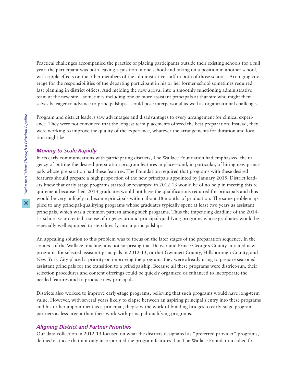Practical challenges accompanied the practice of placing participants outside their existing schools for a full year: the participant was both leaving a position in one school and taking on a position in another school, with ripple effects on the other members of the administrative staff in both of those schools. Arranging coverage for the responsibilities of the departing participant in his or her former school sometimes required fast planning in district offices. And melding the new arrival into a smoothly functioning administrative team at the new site—sometimes including one or more assistant principals at that site who might themselves be eager to advance to principalships—could pose interpersonal as well as organizational challenges.

Program and district leaders saw advantages and disadvantages to every arrangement for clinical experience. They were not convinced that the longest-term placements offered the best preparation. Instead, they were working to improve the quality of the experience, whatever the arrangements for duration and location might be.

#### *Moving to Scale Rapidly*

In its early communications with participating districts, The Wallace Foundation had emphasized the urgency of putting the desired preparation program features in place—and, in particular, of hiring new principals whose preparation had these features. The Foundation required that programs with these desired features should prepare a high proportion of the new principals appointed by January 2015. District leaders knew that early-stage programs started or revamped in 2012-13 would be of no help in meeting this requirement because their 2013 graduates would not have the qualifications required for principals and thus would be very unlikely to become principals within about 18 months of graduation. The same problem applied to any principal-qualifying programs whose graduates typically spent at least two years as assistant principals, which was a common pattern among such programs. Thus the impending deadline of the 2014- 15 school year created a sense of urgency around principal-qualifying programs whose graduates would be especially well equipped to step directly into a principalship.

An appealing solution to this problem was to focus on the later stages of the preparation sequence. In the context of the Wallace timeline, it is not surprising that Denver and Prince George's County initiated new programs for selected assistant principals in 2012-13, or that Gwinnett County, Hillsborough County, and New York City placed a priority on improving the programs they were already using to prepare seasoned assistant principals for the transition to a principalship. Because all these programs were district-run, their selection procedures and content offerings could be quickly organized or enhanced to incorporate the needed features and to produce new principals.

Districts also worked to improve early-stage programs, believing that such programs would have long-term value. However, with several years likely to elapse between an aspiring principal's entry into these programs and his or her appointment as a principal, they saw the work of building bridges to early-stage program partners as less urgent than their work with principal-qualifying programs.

## *Aligning District and Partner Priorities*

Our data collection in 2012-13 focused on what the districts designated as "preferred provider" programs, defined as those that not only incorporated the program features that The Wallace Foundation called for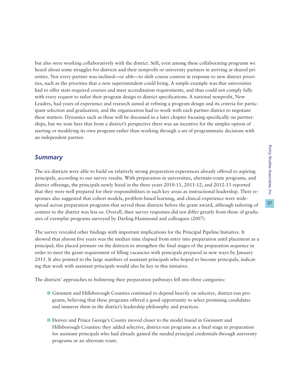but also were working collaboratively with the district. Still, even among these collaborating programs we heard about some struggles for districts and their nonprofit or university partners in arriving at shared priorities. Not every partner was inclined—or able—to shift course content in response to new district priorities, such as the priorities that a new superintendent could bring. A simple example was that universities had to offer state-required courses and meet accreditation requirements, and thus could not comply fully with every request to tailor their program design to district specifications. A national nonprofit, New Leaders, had years of experience and research aimed at refining a program design and its criteria for participant selection and graduation, and the organization had to work with each partner district to negotiate these matters. Dynamics such as these will be discussed in a later chapter focusing specifically on partnerships, but we note here that from a district's perspective there was an incentive for the simpler option of starting or modifying its own program rather than working through a set of programmatic decisions with an independent partner.

## *Summary*

The six districts were able to build on relatively strong preparation experiences already offered to aspiring principals, according to our survey results. With preparation in universities, alternate-route programs, and district offerings, the principals newly hired in the three years 2010-11, 2011-12, and 2012-13 reported that they were well prepared for their responsibilities in such key areas as instructional leadership. Their responses also suggested that cohort models, problem-based learning, and clinical experience were widespread across preparation programs that served these districts before the grant award, although tailoring of content to the district was less so. Overall, their survey responses did not differ greatly from those of graduates of exemplar programs surveyed by Darling-Hammond and colleagues (2007).

The survey revealed other findings with important implications for the Principal Pipeline Initiative. It showed that almost five years was the median time elapsed from entry into preparation until placement as a principal; this placed pressure on the districts to strengthen the final stages of the preparation sequence in order to meet the grant requirement of filling vacancies with principals prepared in new ways by January 2015. It also pointed to the large numbers of assistant principals who hoped to become principals, indicating that work with assistant principals would also be key in this initiative.

The districts' approaches to bolstering their preparation pathways fell into three categories:

- Gwinnett and Hillsborough Counties continued to depend heavily on selective, district-run programs, believing that these programs offered a good opportunity to select promising candidates and immerse them in the district's leadership philosophy and practices.
- Denver and Prince George's County moved closer to the model found in Gwinnett and Hillsborough Counties: they added selective, district-run programs as a final stage in preparation for assistant principals who had already gained the needed principal credentials through university programs or an alternate route.

37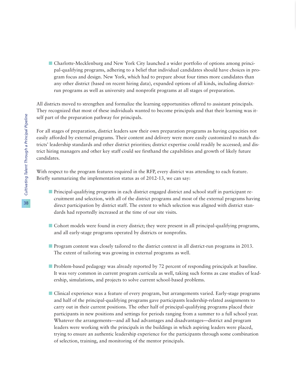■ Charlotte-Mecklenburg and New York City launched a wider portfolio of options among principal-qualifying programs, adhering to a belief that individual candidates should have choices in program focus and design. New York, which had to prepare about four times more candidates than any other district (based on recent hiring data), expanded options of all kinds, including districtrun programs as well as university and nonprofit programs at all stages of preparation.

All districts moved to strengthen and formalize the learning opportunities offered to assistant principals. They recognized that most of these individuals wanted to become principals and that their learning was itself part of the preparation pathway for principals.

For all stages of preparation, district leaders saw their own preparation programs as having capacities not easily afforded by external programs. Their content and delivery were more easily customized to match districts' leadership standards and other district priorities; district expertise could readily be accessed; and district hiring managers and other key staff could see firsthand the capabilities and growth of likely future candidates.

With respect to the program features required in the RFP, every district was attending to each feature. Briefly summarizing the implementation status as of 2012-13, we can say:

- Principal-qualifying programs in each district engaged district and school staff in participant recruitment and selection, with all of the district programs and most of the external programs having direct participation by district staff. The extent to which selection was aligned with district standards had reportedly increased at the time of our site visits.
- Cohort models were found in every district; they were present in all principal-qualifying programs, and all early-stage programs operated by districts or nonprofits.
- Program content was closely tailored to the district context in all district-run programs in 2013. The extent of tailoring was growing in external programs as well.
- Problem-based pedagogy was already reported by 72 percent of responding principals at baseline. It was very common in current program curricula as well, taking such forms as case studies of leadership, simulations, and projects to solve current school-based problems.
- Clinical experience was a feature of every program, but arrangements varied. Early-stage programs and half of the principal-qualifying programs gave participants leadership-related assignments to carry out in their current positions. The other half of principal-qualifying programs placed their participants in new positions and settings for periods ranging from a summer to a full school year. Whatever the arrangements—and all had advantages and disadvantages—district and program leaders were working with the principals in the buildings in which aspiring leaders were placed, trying to ensure an authentic leadership experience for the participants through some combination of selection, training, and monitoring of the mentor principals.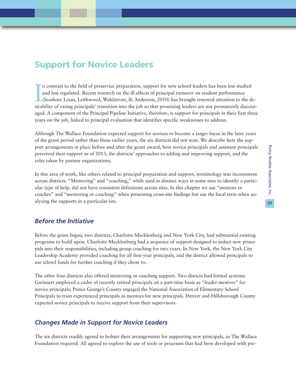# **Support for Novice Leaders**

In contrast to the field of preservice preparation, support for new school leaders has been less studied and less regulated. Recent research on the ill effects of principal turnover on student performance (Seashore Louis, n contrast to the field of preservice preparation, support for new school leaders has been less studied and less regulated. Recent research on the ill effects of principal turnover on student performance (Seashore Louis, Leithwood, Wahlstrom, & Anderson, 2010) has brought renewed attention to the deaged. A component of the Principal Pipeline Initiative, therefore, is support for principals in their first three years on the job, linked to principal evaluation that identifies specific weaknesses to address.

Although The Wallace Foundation expected support for novices to become a larger focus in the later years of the grant period rather than these earlier years, the six districts did not wait. We describe here the support arrangements in place before and after the grant award, how novice principals and assistant principals perceived their support as of 2013, the districts' approaches to adding and improving support, and the roles taken by partner organizations.

In this area of work, like others related to principal preparation and support, terminology was inconsistent across districts. "Mentoring" and "coaching," while used in distinct ways in some sites to identify a particular type of help, did not have consistent definitions across sites. In this chapter we use "mentors or coaches" and "mentoring or coaching" when presenting cross-site findings but use the local term when analyzing the supports in a particular site.

# *Before the Initiative*

Before the grant began, two districts, Charlotte-Mecklenburg and New York City, had substantial existing programs to build upon. Charlotte-Mecklenburg had a sequence of support designed to induct new principals into their responsibilities, including group coaching for two years. In New York, the New York City Leadership Academy provided coaching for all first-year principals, and the district allowed principals to use school funds for further coaching if they chose to.

The other four districts also offered mentoring or coaching support. Two disricts had formal systems: Gwinnett employed a cadre of recently retired principals on a part-time basis as "leader mentors" for novice principals; Prince George's County engaged the National Association of Elementary School Principals to train experienced principals as mentors for new principals. Denver and Hillsborough County expected novice principals to receive support from their supervisors.

# *Changes Made in Support for Novice Leaders*

The six districts readily agreed to bolster their arrangements for supporting new principals, as The Wallace Foundation required. All agreed to explore the use of tools or processes that had been developed with pre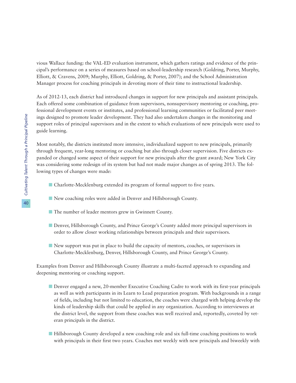vious Wallace funding: the VAL-ED evaluation instrument, which gathers ratings and evidence of the principal's performance on a series of measures based on school-leadership research (Goldring, Porter, Murphy, Elliott, & Cravens, 2009; Murphy, Elliott, Goldring, & Porter, 2007); and the School Administration Manager process for coaching principals in devoting more of their time to instructional leadership.

As of 2012-13, each district had introduced changes in support for new principals and assistant principals. Each offered some combination of guidance from supervisors, nonsupervisory mentoring or coaching, professional development events or institutes, and professional learning communities or facilitated peer meetings designed to promote leader development. They had also undertaken changes in the monitoring and support roles of principal supervisors and in the extent to which evaluations of new principals were used to guide learning.

Most notably, the districts instituted more intensive, individualized support to new principals, primarily through frequent, year-long mentoring or coaching but also through closer supervision. Five districts expanded or changed some aspect of their support for new principals after the grant award; New York City was considering some redesign of its system but had not made major changes as of spring 2013. The following types of changes were made:

- Charlotte-Mecklenburg extended its program of formal support to five years.
- New coaching roles were added in Denver and Hillsborough County.
- The number of leader mentors grew in Gwinnett County.
- Denver, Hillsborough County, and Prince George's County added more principal supervisors in order to allow closer working relationships between principals and their supervisors.
- New support was put in place to build the capacity of mentors, coaches, or supervisors in Charlotte-Mecklenburg, Denver, Hillsborough County, and Prince George's County.

Examples from Denver and Hillsborough County illustrate a multi-faceted approach to expanding and deepening mentoring or coaching support.

- Denver engaged a new, 20-member Executive Coaching Cadre to work with its first-year principals as well as with participants in its Learn to Lead preparation program. With backgrounds in a range of fields, including but not limited to education, the coaches were charged with helping develop the kinds of leadership skills that could be applied in any organization. According to interviewees at the district level, the support from these coaches was well received and, reportedly, coveted by veteran principals in the district.
- Hillsborough County developed a new coaching role and six full-time coaching positions to work with principals in their first two years. Coaches met weekly with new principals and biweekly with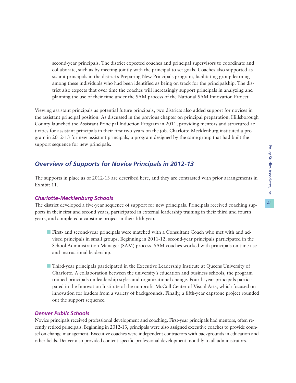41

Inc.

second-year principals. The district expected coaches and principal supervisors to coordinate and collaborate, such as by meeting jointly with the principal to set goals. Coaches also supported assistant principals in the district's Preparing New Principals program, facilitating group learning among these individuals who had been identified as being on track for the principalship. The district also expects that over time the coaches will increasingly support principals in analyzing and planning the use of their time under the SAM process of the National SAM Innovation Project.

Viewing assistant principals as potential future principals, two districts also added support for novices in the assistant principal position. As discussed in the previous chapter on principal preparation, Hillsborough County launched the Assistant Principal Induction Program in 2011, providing mentors and structured activities for assistant principals in their first two years on the job. Charlotte-Mecklenburg instituted a program in 2012-13 for new assistant principals, a program designed by the same group that had built the support sequence for new principals.

# *Overview of Supports for Novice Principals in 2012-13*

The supports in place as of 2012-13 are described here, and they are contrasted with prior arrangements in Exhibit 11.

### *Charlotte-Mecklenburg Schools*

The district developed a five-year sequence of support for new principals. Principals received coaching supports in their first and second years, participated in external leadership training in their third and fourth years, and completed a capstone project in their fifth year.

- First- and second-year principals were matched with a Consultant Coach who met with and advised principals in small groups. Beginning in 2011-12, second-year principals participated in the School Administration Manager (SAM) process. SAM coaches worked with principals on time use and instructional leadership.
- Third-year principals participated in the Executive Leadership Institute at Queens University of Charlotte. A collaboration between the university's education and business schools, the program trained principals on leadership styles and organizational change. Fourth-year principals participated in the Innovation Institute of the nonprofit McColl Center of Visual Arts, which focused on innovation for leaders from a variety of backgrounds. Finally, a fifth-year capstone project rounded out the support sequence.

#### *Denver Public Schools*

Novice principals received professional development and coaching. First-year principals had mentors, often recently retired principals. Beginning in 2012-13, principals were also assigned executive coaches to provide counsel on change management. Executive coaches were independent contractors with backgrounds in education and other fields. Denver also provided content-specific professional development monthly to all administrators.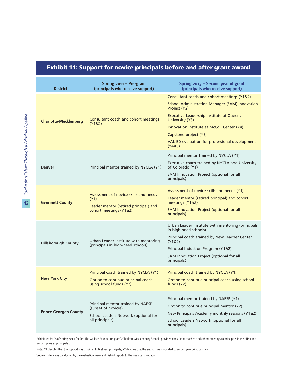# **Exhibit 11: Support for novice principals before and after grant award**

| <b>District</b>               | Spring 2011 - Pre-grant<br>(principals who receive support)                                                         | Spring 2013 – Second year of grant<br>(principals who receive support)                                                                                                                                                                                                                                                 |
|-------------------------------|---------------------------------------------------------------------------------------------------------------------|------------------------------------------------------------------------------------------------------------------------------------------------------------------------------------------------------------------------------------------------------------------------------------------------------------------------|
| <b>Charlotte-Mecklenburg</b>  | Consultant coach and cohort meetings<br>(Y182)                                                                      | Consultant coach and cohort meetings (Y1&2)<br><b>School Administration Manager (SAM) Innovation</b><br>Project (Y2)<br>Executive Leadership Institute at Queens<br>University (Y3)<br>Innovation Institute at McColl Center (Y4)<br>Capstone project (Y5)<br>VAL-ED evaluation for professional development<br>(Y485) |
| <b>Denver</b>                 | Principal mentor trained by NYCLA (Y1)                                                                              | Principal mentor trained by NYCLA (Y1)<br>Executive coach trained by NYCLA and University<br>of Colorado (Y1)<br>SAM Innovation Project (optional for all<br>principals)                                                                                                                                               |
| <b>Gwinnett County</b>        | Assessment of novice skills and needs<br>(Y1)<br>Leader mentor (retired principal) and<br>cohort meetings (Y1&2)    | Assessment of novice skills and needs (Y1)<br>Leader mentor (retired principal) and cohort<br>meetings (Y1&2)<br>SAM Innovation Project (optional for all<br>principals)                                                                                                                                               |
| <b>Hillsborough County</b>    | Urban Leader Institute with mentoring<br>(principals in high-need schools)                                          | Urban Leader Institute with mentoring (principals<br>in high-need schools)<br>Principal coach trained by New Teacher Center<br>(Y1&2)<br>Principal Induction Program (Y1&2)<br>SAM Innovation Project (optional for all<br>principals)                                                                                 |
| <b>New York City</b>          | Principal coach trained by NYCLA (Y1)<br>Option to continue principal coach<br>using school funds (Y2)              | Principal coach trained by NYCLA (Y1)<br>Option to continue principal coach using school<br>funds (Y2)                                                                                                                                                                                                                 |
| <b>Prince George's County</b> | Principal mentor trained by NAESP<br>(subset of novices)<br>School Leaders Network (optional for<br>all principals) | Principal mentor trained by NAESP (Y1)<br>Option to continue principal mentor (Y2)<br>New Principals Academy monthly sessions (Y1&2)<br>School Leaders Network (optional for all<br>principals)                                                                                                                        |

Exhibit reads: As of spring 2011 (before The Wallace Foundation grant), Charlotte-Mecklenburg Schools provided consultant coaches and cohort meetings to principals in their first and second years as principals..

Note: Y1 denotes that the support was provided to firstyear principals, Y2 denotes that the support was provided to second year principals, etc.

Source: Interviews conducted bythe evaluation team and district reports to The Wallace Foundation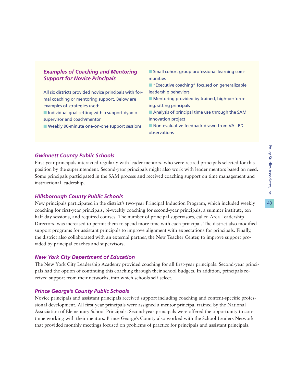## *Examples of Coaching and Mentoring Support for Novice Principals*

All six districts provided novice principals with formal coaching or mentoring support. Below are examples of strategies used:

- Individual goal setting with a support dyad of supervisor and coach/mentor
- Weekly 90-minute one-on-one support sessions
- Small cohort group professional learning communities
- "Executive coaching" focused on generalizable leadership behaviors
- Mentoring provided by trained, high-performing. sitting principals
- Analysis of principal time use through the SAM Innovation project
- Non-evaluative feedback drawn from VAL-ED observations

### *Gwinnett County Public Schools*

First-year principals interacted regularly with leader mentors, who were retired principals selected for this position by the superintendent. Second-year principals might also work with leader mentors based on need. Some principals participated in the SAM process and received coaching support on time management and instructional leadership.

#### *Hillsborough County Public Schools*

New principals participated in the district's two-year Principal Induction Program, which included weekly coaching for first-year principals, bi-weekly coaching for second-year principals, a summer institute, ten half-day sessions, and required courses. The number of principal supervisors, called Area Leadership Directors, was increased to permit them to spend more time with each principal. The district also modified support programs for assistant principals to improve alignment with expectations for principals. Finally, the district also collaborated with an external partner, the New Teacher Center, to improve support provided by principal coaches and supervisors.

#### *New York City Department of Education*

The New York City Leadership Academy provided coaching for all first-year principals. Second-year principals had the option of continuing this coaching through their school budgets. In addition, principals received support from their networks, into which schools self-select.

#### *Prince George's County Public Schools*

Novice principals and assistant principals received support including coaching and content-specific professional development. All first-year principals were assigned a mentor principal trained by the National Association of Elementary School Principals. Second-year principals were offered the opportunity to continue working with their mentors. Prince George's County also worked with the School Leaders Network that provided monthly meetings focused on problems of practice for principals and assistant principals.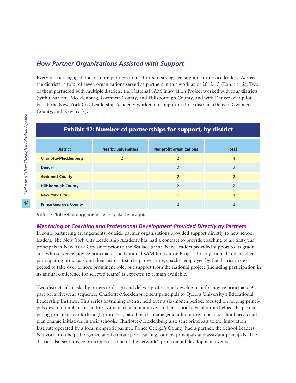# *How Partner Organizations Assisted with Support*

Every district engaged one or more partners in its efforts to strengthen support for novice leaders. Across the districts, a total of seven organizations served as partners in this work as of 2012-13 (Exhibit 12). Two of them partnered with multiple districts: the National SAM Innovation Project worked with four districts (with Charlotte-Mecklenburg, Gwinnett County, and Hillsborough County, and with Denver on a pilot basis); the New York City Leadership Academy worked on support in three districts (Denver, Gwinnett County, and New York).

| <b>District</b>               | <b>Nearby universities</b> | <b>Nonprofit organizations</b> | <b>Total</b>             |
|-------------------------------|----------------------------|--------------------------------|--------------------------|
| <b>Charlotte-Mecklenburg</b>  | $\mathcal{P}$              | $\overline{2}$                 | $\overline{4}$           |
| <b>Denver</b>                 |                            | $\overline{2}$                 | $\overline{2}$           |
| <b>Gwinnett County</b>        |                            | 2                              | $\overline{\phantom{0}}$ |
| <b>Hillsborough County</b>    |                            | $\mathcal{P}$                  | $\overline{2}$           |
| <b>New York City</b>          |                            |                                |                          |
| <b>Prince George's County</b> |                            | 2                              |                          |

## **Exhibit 12: Number of partnerships for support, by district**

Exhibit reads: Charlotte-Mecklenburg partnered with two nearby universities on support.

## *Mentoring or Coaching and Professional Development Provided Directly by Partners*

In some partnering arrangements, outside partner organizations provided support directly to new school leaders. The New York City Leadership Academy has had a contract to provide coaching to all first-year principals in New York City since prior to the Wallace grant. New Leaders provided support to its graduates who served as novice principals. The National SAM Innovation Project directly trained and coached participating principals and their teams at start-up; over time, coaches employed by the district are expected to take over a more prominent role, but support from the national project (including participation in its annual conference for selected teams) is expected to remain available.

Two districts also asked partners to design and deliver professional development for novice principals. As part of its five-year sequence, Charlotte-Mecklenburg sent principals to Queens University's Educational Leadership Institute. This series of training events, held over a six-month period, focused on helping principals develop, implement, and re-evaluate change initiatives in their schools. Facilitators helped the participating principals work through protocols, based on the management literature, to assess school needs and plan change initiatives in their schools. Charlotte-Mecklenburg also sent principals to the Innovation Institute operated by a local nonprofit partner. Prince George's County had a partner, the School Leaders Network, that helped organize and facilitate peer learning for new principals and assistant principals. The district also sent novice principals to some of the network's professional development events.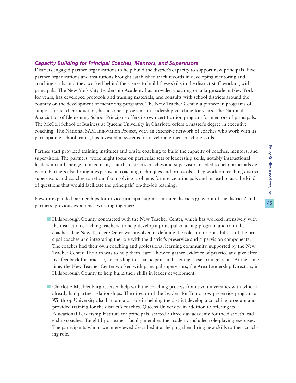Districts engaged partner organizations to help build the district's capacity to support new principals. Five partner organizations and institutions brought established track records in developing mentoring and coaching skills, and they worked behind the scenes to build these skills in the district staff working with principals. The New York City Leadership Academy has provided coaching on a large scale in New York for years, has developed protocols and training materials, and consults with school districts around the country on the development of mentoring programs. The New Teacher Center, a pioneer in programs of support for teacher induction, has also had programs in leadership coaching for years. The National Association of Elementary School Principals offers its own certification program for mentors of principals. The McColl School of Business at Queens University in Charlotte offers a master's degree in executive coaching. The National SAM Innovation Project, with an extensive network of coaches who work with its participating school teams, has invested in systems for developing their coaching skills.

Partner staff provided training institutes and onsite coaching to build the capacity of coaches, mentors, and supervisors. The partners' work might focus on particular sets of leadership skills, notably instructional leadership and change management, that the district's coaches and supervisors needed to help principals develop. Partners also brought expertise in coaching techniques and protocols. They work on teaching district supervisors and coaches to refrain from solving problems for novice principals and instead to ask the kinds of questions that would facilitate the principals' on-the-job learning.

New or expanded partnerships for novice-principal support in three districts grew out of the districts' and partners' previous experience working together:

- Hillsborough County contracted with the New Teacher Center, which has worked intensively with the district on coaching teachers, to help develop a principal coaching program and train the coaches. The New Teacher Center was involved in defining the role and responsibilities of the principal coaches and integrating the role with the district's preservice and supervision components. The coaches had their own coaching and professional learning community, supported by the New Teacher Center. The aim was to help them learn "how to gather evidence of practice and give effective feedback for practice," according to a participant in designing these arrangements. At the same time, the New Teacher Center worked with principal supervisors, the Area Leadership Directors, in Hillsborough County to help build their skills in leader development.
- Charlotte-Mecklenburg received help with the coaching process from two universities with which it already had partner relationships. The director of the Leaders for Tomorrow preservice program at Winthrop University also had a major role in helping the district develop a coaching program and provided training for the district's coaches. Queens University, in addition to offering its Educational Leadership Institute for principals, started a three-day academy for the district's leadership coaches. Taught by an expert faculty member, the academy included role-playing exercises. The participants whom we interviewed described it as helping them bring new skills to their coaching role.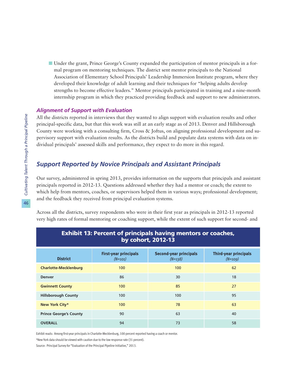■ Under the grant, Prince George's County expanded the participation of mentor principals in a formal program on mentoring techniques. The district sent mentor principals to the National Association of Elementary School Principals' Leadership Immersion Institute program, where they developed their knowledge of adult learning and their techniques for "helping adults develop strengths to become effective leaders." Mentor principals participated in training and a nine-month internship program in which they practiced providing feedback and support to new administrators.

#### *Alignment of Support with Evaluation*

All the districts reported in interviews that they wanted to align support with evaluation results and other principal-specific data, but that this work was still at an early stage as of 2013. Denver and Hillsborough County were working with a consulting firm, Cross & Joftus, on aligning professional development and supervisory support with evaluation results. As the districts build and populate data systems with data on individual principals' assessed skills and performance, they expect to do more in this regard.

# *Support Reported by Novice Principals and Assistant Principals*

Our survey, administered in spring 2013, provides information on the supports that principals and assistant principals reported in 2012-13. Questions addressed whether they had a mentor or coach; the extent to which help from mentors, coaches, or supervisors helped them in various ways; professional development; and the feedback they received from principal evaluation systems.

Across all the districts, survey respondents who were in their first year as principals in 2012-13 reported very high rates of formal mentoring or coaching support, while the extent of such support for second- and

| <b>Exhibit 13: Percent of principals having mentors or coaches,</b><br>by cohort, 2012-13 |                                           |                                     |                                           |  |  |
|-------------------------------------------------------------------------------------------|-------------------------------------------|-------------------------------------|-------------------------------------------|--|--|
| <b>District</b>                                                                           | <b>First-year principals</b><br>$(N=101)$ | Second-year principals<br>$(N=138)$ | <b>Third-year principals</b><br>$(N=109)$ |  |  |
| <b>Charlotte-Mecklenburg</b>                                                              | 100                                       | 100                                 | 62                                        |  |  |
| <b>Denver</b>                                                                             | 86                                        | 30                                  | 18                                        |  |  |
| <b>Gwinnett County</b>                                                                    | 100                                       | 85                                  | 27                                        |  |  |
| <b>Hillsborough County</b>                                                                | 100                                       | 100                                 | 95                                        |  |  |
| New York City*                                                                            | 100                                       | 78                                  | 63                                        |  |  |
| <b>Prince George's County</b>                                                             | 90                                        | 63                                  | 40                                        |  |  |
| <b>OVERALL</b>                                                                            | 94                                        | 73                                  | 58                                        |  |  |

Exhibit reads: Among first-year principals in Charlotte-Mecklenburg, 100 percent reported having a coach or mentor.

\*New York data should be viewed with caution due to the low response rate (31 percent).

Source: Principal Survey for "Evaluation of the Principal Pipeline Initiative," 2013.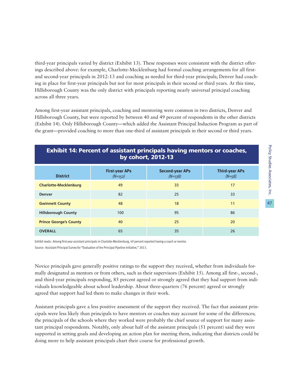Among first-year assistant principals, coaching and mentoring were common in two districts, Denver and Hillsborough County, but were reported by between 40 and 49 percent of respondents in the other districts (Exhibit 14). Only Hillsborough County—which added the Assistant Principal Induction Program as part of the grant—provided coaching to more than one-third of assistant principals in their second or third years.

| EXHIDIL 14. FULCIIL OI ASSISTATIL PHIILIPAIS HAVING MUULOIS OF LOACHUS,<br>by cohort, 2012-13 |                                    |                                     |                                   |  |  |
|-----------------------------------------------------------------------------------------------|------------------------------------|-------------------------------------|-----------------------------------|--|--|
| <b>District</b>                                                                               | <b>First-year APs</b><br>$(N=152)$ | <b>Second-year APs</b><br>$(N=138)$ | <b>Third-year APs</b><br>$(N=58)$ |  |  |
| <b>Charlotte-Mecklenburg</b>                                                                  | 49                                 | 33                                  | 17                                |  |  |
| <b>Denver</b>                                                                                 | 82                                 | 25                                  | 33                                |  |  |
| <b>Gwinnett County</b>                                                                        | 48                                 | 18                                  | 11                                |  |  |
| <b>Hillsborough County</b>                                                                    | 100                                | 95                                  | 86                                |  |  |
| <b>Prince George's County</b>                                                                 | 40                                 | 25                                  | 20                                |  |  |
| <b>OVERALL</b>                                                                                | 65                                 | 35                                  | 26                                |  |  |

third-year principals varied by district (Exhibit 13). These responses were consistent with the district offerings described above: for example, Charlotte-Mecklenburg had formal coaching arrangements for all firstand second-year principals in 2012-13 and coaching as needed for third-year principals; Denver had coaching in place for first-year principals but not for most principals in their second or third years. At this time, Hillsborough County was the only district with principals reporting nearly universal principal coaching

Exhibit reads: Among first-year assistant principals in Charlotte-Mecklenburg, 49 percent reported having a coach or mentor. Source: Assistant Principal Surveyfor "Evaluation of the Principal Pipeline Initiative," 2013.

**Exhibit 14: Percent of assistant principals having mentors or coaches,**

across all three years.

Novice principals gave generally positive ratings to the support they received, whether from individuals formally designated as mentors or from others, such as their supervisors (Exhibit 15). Among all first-, second-, and third-year principals responding, 85 percent agreed or strongly agreed that they had support from individuals knowledgeable about school leadership. About three-quarters (76 percent) agreed or strongly agreed that support had led them to make changes in their work.

Assistant principals gave a less positive assessment of the support they received. The fact that assistant principals were less likely than principals to have mentors or coaches may account for some of the differences; the principals of the schools where they worked were probably the chief source of support for many assistant principal respondents. Notably, only about half of the assistant principals (51 percent) said they were supported in setting goals and developing an action plan for meeting them, indicating that districts could be doing more to help assistant principals chart their course for professional growth.

Policy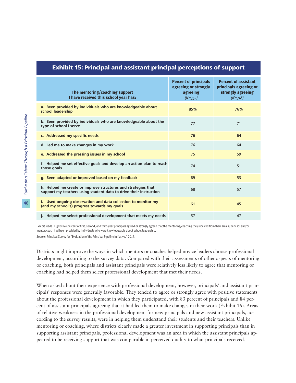| The mentoring/coaching support<br>I have received this school year has:        | <b>Percent of principals</b><br>agreeing or strongly<br>agreeing<br>$(N=352)$ | <b>Percent of assistant</b><br>principals agreeing or<br>strongly agreeing<br>$(N=318)$ |
|--------------------------------------------------------------------------------|-------------------------------------------------------------------------------|-----------------------------------------------------------------------------------------|
| . Been provided by individuals who are knowledgeable about<br>chool leadership | 85%                                                                           | 76%                                                                                     |

# **Exhibit 15: Principal and assistant principal perceptions of support**

| a. Been provided by individuals who are knowledgeable about<br>school leadership                                                   | 85% | 76% |
|------------------------------------------------------------------------------------------------------------------------------------|-----|-----|
| b. Been provided by individuals who are knowledgeable about the<br>type of school I serve                                          | 77  | 71  |
| c. Addressed my specific needs                                                                                                     | 76  | 64  |
| d. Led me to make changes in my work                                                                                               | 76  | 64  |
| e. Addressed the pressing issues in my school                                                                                      | 75  | 59  |
| f. Helped me set effective goals and develop an action plan to reach<br>those goals                                                | 74  | 51  |
| g. Been adapted or improved based on my feedback                                                                                   | 69  | 53  |
| h. Helped me create or improve structures and strategies that<br>support my teachers using student data to drive their instruction | 68  | 57  |
| i. Used ongoing observation and data collection to monitor my<br>(and my school's) progress towards my goals                       | 61  | 45  |
| j. Helped me select professional development that meets my needs                                                                   | 57  | 47  |

Exhibit reads: Eighty-five percent of first, second, and third-year principals agreed or strongly agreed that the mentoring/coaching they received from their area supervisor and/or mentor/coach had been provided byindividuals who were knowledgeable about school leadership.

Source: Principal Survey for "Evaluation of the Principal Pipeline Initiative," 2013.

Districts might improve the ways in which mentors or coaches helped novice leaders choose professional development, according to the survey data. Compared with their assessments of other aspects of mentoring or coaching, both principals and assistant principals were relatively less likely to agree that mentoring or coaching had helped them select professional development that met their needs.

When asked about their experience with professional development, however, principals' and assistant principals' responses were generally favorable. They tended to agree or strongly agree with positive statements about the professional development in which they participated, with 83 percent of principals and 84 percent of assistant principals agreeing that it had led them to make changes in their work (Exhibit 16). Areas of relative weakness in the professional development for new principals and new assistant principals, according to the survey results, were in helping them understand their students and their teachers. Unlike mentoring or coaching, where districts clearly made a greater investment in supporting principals than in supporting assistant principals, professional development was an area in which the assistant principals appeared to be receiving support that was comparable in perceived quality to what principals received.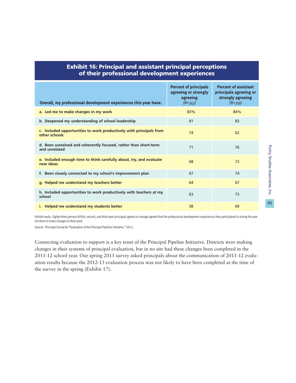| Overall, my professional development experiences this year have:                     | <b>Percent of principals</b><br>agreeing or strongly<br>agreeing<br>$(N=343)$ | <b>Percent of assistant</b><br>principals agreeing or<br>strongly agreeing<br>$(N=319)$ |
|--------------------------------------------------------------------------------------|-------------------------------------------------------------------------------|-----------------------------------------------------------------------------------------|
| a. Led me to make changes in my work                                                 | 83%                                                                           | 84%                                                                                     |
| b. Deepened my understanding of school leadership                                    | 81                                                                            | 83                                                                                      |
| c. Included opportunities to work productively with principals from<br>other schools | 74                                                                            | 62                                                                                      |
| d. Been sustained and coherently focused, rather than short-term<br>and unrelated    | 71                                                                            | 76                                                                                      |
| e. Included enough time to think carefully about, try, and evaluate<br>new ideas     | 68                                                                            | 72                                                                                      |
| f. Been closely connected to my school's improvement plan                            | 67                                                                            | 74                                                                                      |
| g. Helped me understand my teachers better                                           | 64                                                                            | 67                                                                                      |
| h. Included opportunities to work productively with teachers at my<br>school         | 63                                                                            | 73                                                                                      |
| i. Helped me understand my students better                                           | 58                                                                            | 69                                                                                      |

# **Exhibit 16: Principal and assistant principal perceptions of their professional development experiences**

Exhibit reads: Eighty-three percent of first, second, and third-year principals agreed or strongly agreed that the professional development experiences they participated in during the year led them to make changes in their work.

Source: Principal Survey for "Evaluation of the Principal Pipeline Initiative," 2013.

Connecting evaluation to support is a key tenet of the Principal Pipeline Initiative. Districts were making changes in their systems of principal evaluation, but in no site had these changes been completed in the 2011-12 school year. Our spring 2013 survey asked principals about the communication of 2011-12 evaluation results because the 2012-13 evaluation process was not likely to have been completed at the time of the survey in the spring (Exhibit 17).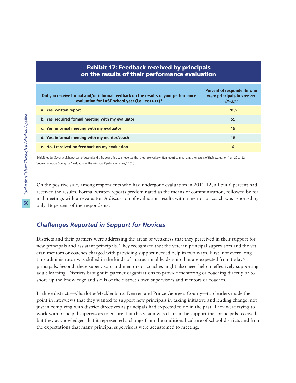| <b>Percent of respon</b>                                                                                                                                    |           |
|-------------------------------------------------------------------------------------------------------------------------------------------------------------|-----------|
| Did you receive formal and/or informal feedback on the results of your performance<br>were principals i<br>evaluation for LAST school year (i.e., 2011-12)? | $(N=213)$ |

**Percent of respondents who**

| $\,$ Exhibit 17: Feedback received by principals $_{\rm 0}$ |  |
|-------------------------------------------------------------|--|
| on the results of their performance evaluation              |  |

| Did you receive formal and/or informal feedback on the results of your performance<br>evaluation for LAST school year (i.e., 2011-12)? | were principals in 2011-12<br>$(N=213)$ |
|----------------------------------------------------------------------------------------------------------------------------------------|-----------------------------------------|
| a. Yes, written report                                                                                                                 | 78%                                     |
| b. Yes, required formal meeting with my evaluator                                                                                      | 55                                      |
| c. Yes, informal meeting with my evaluator                                                                                             | 19                                      |
| d. Yes, informal meeting with my mentor/coach                                                                                          | 16                                      |
| e. No, I received no feedback on my evaluation                                                                                         | 6                                       |

Exhibit reads: Seventy-eight percent of second and third year principals reported that theyreceived a written report summarizing the results of their evaluation from 2011-12. Source: Principal Survey for "Evaluation of the Principal Pipeline Initiative," 2013.

On the positive side, among respondents who had undergone evaluation in 2011-12, all but 6 percent had received the results. Formal written reports predominated as the means of communication, followed by formal meetings with an evaluator. A discussion of evaluation results with a mentor or coach was reported by only 16 percent of the respondents.

# *Challenges Reported in Support for Novices*

Districts and their partners were addressing the areas of weakness that they perceived in their support for new principals and assistant principals. They recognized that the veteran principal supervisors and the veteran mentors or coaches charged with providing support needed help in two ways. First, not every longtime administrator was skilled in the kinds of instructional leadership that are expected from today's principals. Second, these supervisors and mentors or coaches might also need help in effectively supporting adult learning. Districts brought in partner organizations to provide mentoring or coaching directly or to shore up the knowledge and skills of the district's own supervisors and mentors or coaches.

In three districts—Charlotte-Mecklenburg, Denver, and Prince George's County—top leaders made the point in interviews that they wanted to support new principals in taking initiative and leading change, not just in complying with district directives as principals had expected to do in the past. They were trying to work with principal supervisors to ensure that this vision was clear in the support that principals received, but they acknowledged that it represented a change from the traditional culture of school districts and from the expectations that many principal supervisors were accustomed to meeting.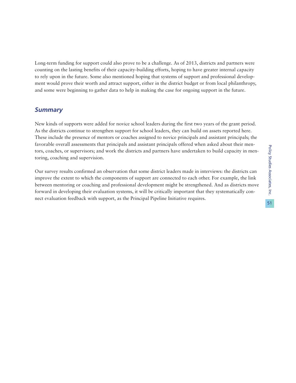Long-term funding for support could also prove to be a challenge. As of 2013, districts and partners were counting on the lasting benefits of their capacity-building efforts, hoping to have greater internal capacity to rely upon in the future. Some also mentioned hoping that systems of support and professional development would prove their worth and attract support, either in the district budget or from local philanthropy, and some were beginning to gather data to help in making the case for ongoing support in the future.

# *Summary*

New kinds of supports were added for novice school leaders during the first two years of the grant period. As the districts continue to strengthen support for school leaders, they can build on assets reported here. These include the presence of mentors or coaches assigned to novice principals and assistant principals; the favorable overall assessments that principals and assistant principals offered when asked about their mentors, coaches, or supervisors; and work the districts and partners have undertaken to build capacity in mentoring, coaching and supervision.

Our survey results confirmed an observation that some district leaders made in interviews: the districts can improve the extent to which the components of support are connected to each other. For example, the link between mentoring or coaching and professional development might be strengthened. And as districts move forward in developing their evaluation systems, it will be critically important that they systematically connect evaluation feedback with support, as the Principal Pipeline Initiative requires.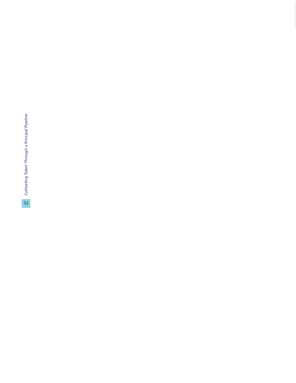*Cultivating Talent Through a Principal Pipeline* 52 Cultivating Talent Through a Principal Pipeline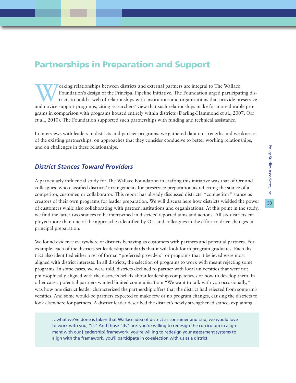# **Partnerships in Preparation and Support**

orking relationships between districts and external partners are integral to The Wallace Foundation's design of the Principal Pipeline Initiative. The Foundation urged participating districts to build a web of relationships with institutions and organizations that provide preservice and novice support programs, citing researchers' view that such relationships make for more durable programs in comparison with programs housed entirely within districts (Darling-Hammond et al., 2007; Orr et al., 2010). The Foundation supported such partnerships with funding and technical assistance.

In interviews with leaders in districts and partner programs, we gathered data on strengths and weaknesses of the existing partnerships, on approaches that they consider conducive to better working relationships, and on challenges in these relationships.

## *District Stances Toward Providers*

A particularly influential study for The Wallace Foundation in crafting this initiative was that of Orr and colleagues, who classified districts' arrangements for preservice preparation as reflecting the stance of a competitor, customer, or collaborator. This report has already discussed districts' "competitor" stance as creators of their own programs for leader preparation. We will discuss here how districts wielded the power of customers while also collaborating with partner institutions and organizations. At this point in the study, we find the latter two stances to be intertwined in districts' reported aims and actions. All six districts employed more than one of the approaches identified by Orr and colleagues in the effort to drive changes in principal preparation.

We found evidence everywhere of districts behaving as customers with partners and potential partners. For example, each of the districts set leadership standards that it will look for in program graduates. Each district also identified either a set of formal "preferred providers" or programs that it believed were most aligned with district interests. In all districts, the selection of programs to work with meant rejecting some programs. In some cases, we were told, districts declined to partner with local universities that were not philosophically aligned with the district's beliefs about leadership competencies or how to develop them. In other cases, potential partners wanted limited communication: "We want to talk with you occasionally," was how one district leader characterized the partnership offers that the district had rejected from some universities. And some would-be partners expected to make few or no program changes, causing the districts to look elsewhere for partners. A district leader described the district's newly strengthened stance, explaining

…what we've done is taken that Wallace idea of district as consumer and said, we would love to work with you, "if." And those "ifs" are: you're willing to redesign the curriculum in alignment with our [leadership] framework, you're willing to redesign your assessment systems to align with the framework, you'll participate in co-selection with us as a district.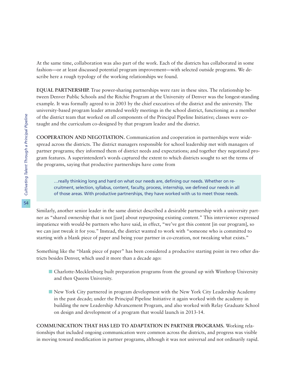At the same time, collaboration was also part of the work. Each of the districts has collaborated in some fashion—or at least discussed potential program improvement—with selected outside programs. We describe here a rough typology of the working relationships we found.

**EQUAL PARTNERSHIP.** True power-sharing partnerships were rare in these sites. The relationship between Denver Public Schools and the Ritchie Program at the University of Denver was the longest-standing example. It was formally agreed to in 2003 by the chief executives of the district and the university. The university-based program leader attended weekly meetings in the school district, functioning as a member of the district team that worked on all components of the Principal Pipeline Initiative; classes were cotaught and the curriculum co-designed by that program leader and the district.

**COOPERATION AND NEGOTIATION.** Communication and cooperation in partnerships were widespread across the districts. The district managers responsible for school leadership met with managers of partner programs; they informed them of district needs and expectations; and together they negotiated program features. A superintendent's words captured the extent to which districts sought to set the terms of the programs, saying that productive partnerships have come from

…really thinking long and hard on what our needs are, defining our needs. Whether on recruitment, selection, syllabus, content, faculty, process, internship, we defined our needs in all of those areas. With productive partnerships, they have worked with us to meet those needs.

Similarly, another senior leader in the same district described a desirable partnership with a university partner as "shared ownership that is not [just] about repurposing existing content." This interviewee expressed impatience with would-be partners who have said, in effect, "we've got this content [in our program], so we can just tweak it for you." Instead, the district wanted to work with "someone who is committed to starting with a blank piece of paper and being your partner in co-creation, not tweaking what exists."

Something like the "blank piece of paper" has been considered a productive starting point in two other districts besides Denver, which used it more than a decade ago:

- Charlotte-Mecklenburg built preparation programs from the ground up with Winthrop University and then Queens University.
- New York City partnered in program development with the New York City Leadership Academy in the past decade; under the Principal Pipeline Initiative it again worked with the academy in building the new Leadership Advancement Program, and also worked with Relay Graduate School on design and development of a program that would launch in 2013-14.

**COMMUNICATION THAT HAS LED TO ADAPTATION IN PARTNER PROGRAMS.** Working relationships that included ongoing communication were common across the districts, and progress was visible in moving toward modification in partner programs, although it was not universal and not ordinarily rapid.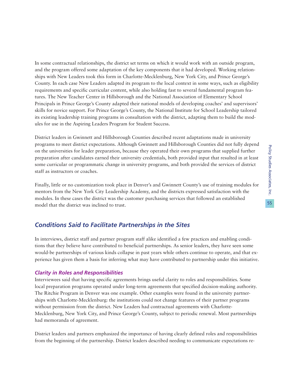55

Inc.

In some contractual relationships, the district set terms on which it would work with an outside program, and the program offered some adaptation of the key components that it had developed. Working relationships with New Leaders took this form in Charlotte-Mecklenburg, New York City, and Prince George's County. In each case New Leaders adapted its program to the local context in some ways, such as eligibility requirements and specific curricular content, while also holding fast to several fundamental program features. The New Teacher Center in Hillsborough and the National Association of Elementary School Principals in Prince George's County adapted their national models of developing coaches' and supervisors' skills for novice support. For Prince George's County, the National Institute for School Leadership tailored its existing leadership training programs in consultation with the district, adapting them to build the modules for use in the Aspiring Leaders Program for Student Success.

District leaders in Gwinnett and Hillsborough Counties described recent adaptations made in university programs to meet district expectations. Although Gwinnett and Hillsborough Counties did not fully depend on the universities for leader preparation, because they operated their own programs that supplied further preparation after candidates earned their university credentials, both provided input that resulted in at least some curricular or programmatic change in university programs, and both provided the services of district staff as instructors or coaches.

Finally, little or no customization took place in Denver's and Gwinnett County's use of training modules for mentors from the New York City Leadership Academy, and the districts expressed satisfaction with the modules. In these cases the district was the customer purchasing services that followed an established model that the district was inclined to trust.

# *Conditions Said to Facilitate Partnerships in the Sites*

In interviews, district staff and partner program staff alike identified a few practices and enabling conditions that they believe have contributed to beneficial partnerships. As senior leaders, they have seen some would-be partnerships of various kinds collapse in past years while others continue to operate, and that experience has given them a basis for inferring what may have contributed to partnership under this initiative.

## *Clarity in Roles and Responsibilities*

Interviewees said that having specific agreements brings useful clarity to roles and responsibilities. Some local preparation programs operated under long-term agreements that specified decision-making authority. The Ritchie Program in Denver was one example. Other examples were found in the university partnerships with Charlotte-Mecklenburg: the institutions could not change features of their partner programs without permission from the district. New Leaders had contractual agreements with Charlotte-Mecklenburg, New York City, and Prince George's County, subject to periodic renewal. Most partnerships had memoranda of agreement.

District leaders and partners emphasized the importance of having clearly defined roles and responsibilities from the beginning of the partnership. District leaders described needing to communicate expectations re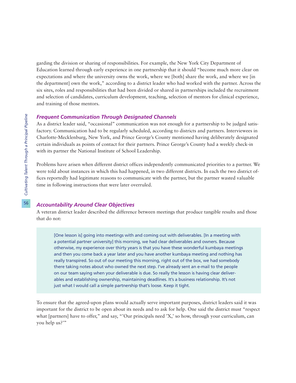garding the division or sharing of responsibilities. For example, the New York City Department of Education learned through early experience in one partnership that it should "become much more clear on expectations and where the university owns the work, where we [both] share the work, and where we [in the department] own the work," according to a district leader who had worked with the partner. Across the six sites, roles and responsibilities that had been divided or shared in partnerships included the recruitment and selection of candidates, curriculum development, teaching, selection of mentors for clinical experience, and training of those mentors.

## *Frequent Communication Through Designated Channels*

As a district leader said, "occasional" communication was not enough for a partnership to be judged satisfactory. Communication had to be regularly scheduled, according to districts and partners. Interviewees in Charlotte-Mecklenburg, New York, and Prince George's County mentioned having deliberately designated certain individuals as points of contact for their partners. Prince George's County had a weekly check-in with its partner the National Institute of School Leadership.

Problems have arisen when different district offices independently communicated priorities to a partner. We were told about instances in which this had happened, in two different districts. In each the two district offices reportedly had legitimate reasons to communicate with the partner, but the partner wasted valuable time in following instructions that were later overruled.

## *Accountability Around Clear Objectives*

A veteran district leader described the difference between meetings that produce tangible results and those that do not:

[One lesson is] going into meetings with and coming out with deliverables. [In a meeting with a potential partner university] this morning, we had clear deliverables and owners. Because otherwise, my experience over thirty years is that you have these wonderful kumbaya meetings and then you come back a year later and you have another kumbaya meeting and nothing has really transpired. So out of our meeting this morning, right out of the box, we had somebody there taking notes about who owned the next step. I've already sent an e-mail to the people on our team saying when your deliverable is due. So really the lesson is having clear deliverables and establishing ownership, maintaining deadlines. It's a business relationship. It's not just what I would call a simple partnership that's loose. Keep it tight.

To ensure that the agreed-upon plans would actually serve important purposes, district leaders said it was important for the district to be open about its needs and to ask for help. One said the district must "respect what [partners] have to offer," and say, "'Our principals need 'X,' so how, through your curriculum, can you help us?'"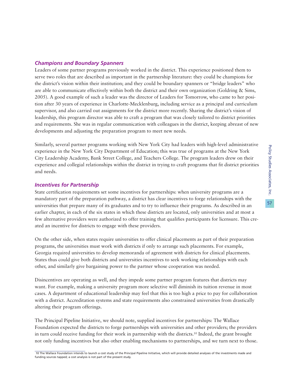Leaders of some partner programs previously worked in the district. This experience positioned them to serve two roles that are described as important in the partnership literature: they could be champions for the district's vision within their institution; and they could be boundary spanners or "bridge leaders" who are able to communicate effectively within both the district and their own organization (Goldring & Sims, 2005). A good example of such a leader was the director of Leaders for Tomorrow, who came to her position after 30 years of experience in Charlotte-Mecklenburg, including service as a principal and curriculum supervisor, and also carried out assignments for the district more recently. Sharing the district's vision of leadership, this program director was able to craft a program that was closely tailored to district priorities and requirements. She was in regular communication with colleagues in the district, keeping abreast of new developments and adjusting the preparation program to meet new needs.

Similarly, several partner programs working with New York City had leaders with high-level administrative experience in the New York City Department of Education; this was true of programs at the New York City Leadership Academy, Bank Street College, and Teachers College. The program leaders drew on their experience and collegial relationships within the district in trying to craft programs that fit district priorities and needs.

## *Incentives for Partnership*

State certification requirements set some incentives for partnerships: when university programs are a mandatory part of the preparation pathway, a district has clear incentives to forge relationships with the universities that prepare many of its graduates and to try to influence their programs. As described in an earlier chapter, in each of the six states in which these districts are located, only universities and at most a few alternative providers were authorized to offer training that qualifies participants for licensure. This created an incentive for districts to engage with these providers.

On the other side, when states require universities to offer clinical placements as part of their preparation programs, the universities must work with districts if only to arrange such placements. For example, Georgia required universities to develop memoranda of agreement with districts for clinical placements. States thus could give both districts and universities incentives to seek working relationships with each other, and similarly give bargaining power to the partner whose cooperation was needed.

Disincentives are operating as well, and they impede some partner program features that districts may want. For example, making a university program more selective will diminish its tuition revenue in most cases. A department of educational leadership may feel that this is too high a price to pay for collaboration with a district. Accreditation systems and state requirements also constrained universities from drastically altering their program offerings.

The Principal Pipeline Initiative, we should note, supplied incentives for partnerships: The Wallace Foundation expected the districts to forge partnerships with universities and other providers; the providers in turn could receive funding for their work in partnership with the districts. <sup>10</sup> Indeed, the grant brought not only funding incentives but also other enabling mechanisms to partnerships, and we turn next to those.

<sup>10</sup> The Wallace Foundation intends to launch a cost study of the Principal Pipeline Initiative, which will provide detailed analyses of the investments made and funding sources tapped; a cost analysis is not part of the present study.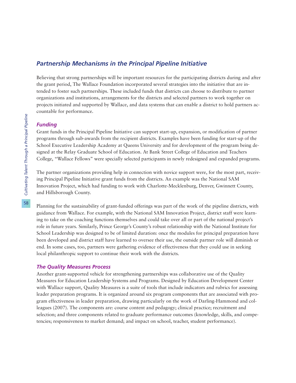## *Partnership Mechanisms in the Principal Pipeline Initiative*

Believing that strong partnerships will be important resources for the participating districts during and after the grant period, The Wallace Foundation incorporated several strategies into the initiative that are intended to foster such partnerships. These included funds that districts can choose to distribute to partner organizations and institutions, arrangements for the districts and selected partners to work together on projects initiated and supported by Wallace, and data systems that can enable a district to hold partners accountable for performance.

## *Funding*

Grant funds in the Principal Pipeline Initiative can support start-up, expansion, or modification of partner programs through sub-awards from the recipient districts. Examples have been funding for start-up of the School Executive Leadership Academy at Queens University and for development of the program being designed at the Relay Graduate School of Education. At Bank Street College of Education and Teachers College, "Wallace Fellows" were specially selected participants in newly redesigned and expanded programs.

The partner organizations providing help in connection with novice support were, for the most part, receiving Principal Pipeline Initiative grant funds from the districts. An example was the National SAM Innovation Project, which had funding to work with Charlotte-Mecklenburg, Denver, Gwinnett County, and Hillsborough County.

Planning for the sustainability of grant-funded offerings was part of the work of the pipeline districts, with guidance from Wallace. For example, with the National SAM Innovation Project, district staff were learning to take on the coaching functions themselves and could take over all or part of the national project's role in future years. Similarly, Prince George's County's robust relationship with the National Institute for School Leadership was designed to be of limited duration: once the modules for principal preparation have been developed and district staff have learned to oversee their use, the outside partner role will diminish or end. In some cases, too, partners were gathering evidence of effectiveness that they could use in seeking local philanthropic support to continue their work with the districts.

#### *The Quality Measures Process*

Another grant-supported vehicle for strengthening partnerships was collaborative use of the Quality Measures for Education Leadership Systems and Programs. Designed by Education Development Center with Wallace support, Quality Measures is a suite of tools that include indicators and rubrics for assessing leader preparation programs. It is organized around six program components that are associated with program effectiveness in leader preparation, drawing particularly on the work of Darling-Hammond and colleagues (2007). The components are: course content and pedagogy; clinical practice; recruitment and selection; and three components related to graduate performance outcomes (knowledge, skills, and competencies; responsiveness to market demand; and impact on school, teacher, student performance).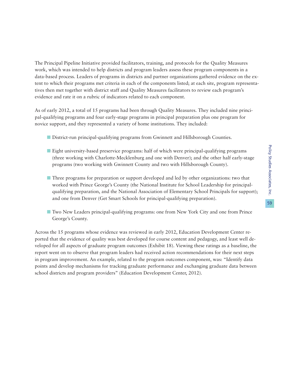The Principal Pipeline Initiative provided facilitators, training, and protocols for the Quality Measures work, which was intended to help districts and program leaders assess these program components in a data-based process. Leaders of programs in districts and partner organizations gathered evidence on the extent to which their programs met criteria in each of the components listed; at each site, program representatives then met together with district staff and Quality Measures facilitators to review each program's evidence and rate it on a rubric of indicators related to each component.

As of early 2012, a total of 15 programs had been through Quality Measures. They included nine principal-qualifying programs and four early-stage programs in principal preparation plus one program for novice support, and they represented a variety of home institutions. They included:

- District-run principal-qualifying programs from Gwinnett and Hillsborough Counties.
- Eight university-based preservice programs: half of which were principal-qualifying programs (three working with Charlotte-Mecklenburg and one with Denver); and the other half early-stage programs (two working with Gwinnett County and two with Hillsborough County).
- Three programs for preparation or support developed and led by other organizations: two that worked with Prince George's County (the National Institute for School Leadership for principalqualifying preparation, and the National Association of Elementary School Principals for support); and one from Denver (Get Smart Schools for principal-qualifying preparation).
- Two New Leaders principal-qualifying programs: one from New York City and one from Prince George's County.

Across the 15 programs whose evidence was reviewed in early 2012, Education Development Center reported that the evidence of quality was best developed for course content and pedagogy, and least well developed for all aspects of graduate program outcomes (Exhibit 18). Viewing these ratings as a baseline, the report went on to observe that program leaders had received action recommendations for their next steps in program improvement. An example, related to the program outcomes component, was: "Identify data points and develop mechanisms for tracking graduate performance and exchanging graduate data between school districts and program providers" (Education Development Center, 2012).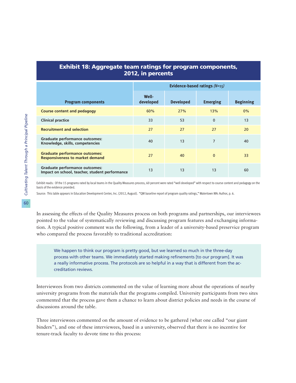| Exhibit 18: Aggregate team ratings for program components, |                   |  |  |
|------------------------------------------------------------|-------------------|--|--|
|                                                            | 2012, in percents |  |  |

|                                                                                  | Evidence-based ratings $(N=15)$ |                  |                 |                  |
|----------------------------------------------------------------------------------|---------------------------------|------------------|-----------------|------------------|
| <b>Program components</b>                                                        | <b>Well-</b><br>developed       | <b>Developed</b> | <b>Emerging</b> | <b>Beginning</b> |
| <b>Course content and pedagogy</b>                                               | 60%                             | 27%              | 13%             | 0%               |
| <b>Clinical practice</b>                                                         | 33                              | 53               | $\mathbf{0}$    | 13               |
| <b>Recruitment and selection</b>                                                 | 27                              | 27               | 27              | 20               |
| Graduate performance outcomes:<br>Knowledge, skills, competencies                | 40                              | 13               | $\overline{7}$  | 40               |
| <b>Graduate performance outcomes:</b><br><b>Responsiveness to market demand</b>  | 27                              | 40               | $\mathbf{0}$    | 33               |
| Graduate performance outcomes:<br>Impact on school, teacher, student performance | 13                              | 13               | 13              | 60               |

Exhibit reads: Of the 15 programs rated by local teams in the Quality Measures process, 60 percent were rated "well developed" with respect to course content and pedagogy on the basis of the evidence provided.

Source: This table appears in Education Development Center, Inc. (2012, August). "QM baseline report of program quality ratings," Watertown MA: Author, p. 6.

In assessing the effects of the Quality Measures process on both programs and partnerships, our interviewees pointed to the value of systematically reviewing and discussing program features and exchanging information. A typical positive comment was the following, from a leader of a university-based preservice program who compared the process favorably to traditional accreditation:

We happen to think our program is pretty good, but we learned so much in the three-day process with other teams. We immediately started making refinements [to our program]. It was a really informative process. The protocols are so helpful in a way that is different from the accreditation reviews.

Interviewees from two districts commented on the value of learning more about the operations of nearby university programs from the materials that the programs compiled. University participants from two sites commented that the process gave them a chance to learn about district policies and needs in the course of discussions around the table.

Three interviewees commented on the amount of evidence to be gathered (what one called "our giant binders"), and one of these interviewees, based in a university, observed that there is no incentive for tenure-track faculty to devote time to this process: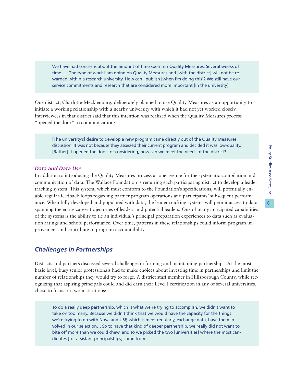We have had concerns about the amount of time spent on Quality Measures. Several weeks of time. … The type of work I am doing on Quality Measures and [with the district] will not be rewarded within a research university. How can I publish [when I'm doing this]? We still have our service commitments and research that are considered more important [in the university].

One district, Charlotte-Mecklenburg, deliberately planned to use Quality Measures as an opportunity to initiate a working relationship with a nearby university with which it had not yet worked closely. Interviewees in that district said that this intention was realized when the Quality Measures process "opened the door" to communication:

[The university's] desire to develop a new program came directly out of the Quality Measures discussion. It was not because they assessed their current program and decided it was low-quality. [Rather] it opened the door for considering, how can we meet the needs of the district?

#### *Data and Data Use*

In addition to introducing the Quality Measures process as one avenue for the systematic compilation and communication of data, The Wallace Foundation is requiring each participating district to develop a leader tracking system. This system, which must conform to the Foundation's specifications, will potentially enable regular feedback loops regarding partner program operations and participants' subsequent performance. When fully developed and populated with data, the leader tracking systems will permit access to data spanning the entire career trajectories of leaders and potential leaders. One of many anticipated capabilities of the systems is the ability to tie an individual's principal preparation experiences to data such as evaluation ratings and school performance. Over time, patterns in these relationships could inform program improvement and contribute to program accountability.

# *Challenges in Partnerships*

Districts and partners discussed several challenges in forming and maintaining partnerships. At the most basic level, busy senior professionals had to make choices about investing time in partnerships and limit the number of relationships they would try to forge. A district staff member in Hillsborough County, while recognizing that aspiring principals could and did earn their Level I certification in any of several universities, chose to focus on two institutions:

To do a really deep partnership, which is what we're trying to accomplish, we didn't want to take on too many. Because we didn't think that we would have the capacity for the things we're trying to do with Nova and USF, which is meet regularly, exchange data, have them involved in our selection… So to have that kind of deeper partnership, we really did not want to bite off more than we could chew, and so we picked the two [universities] where the most candidates [for assistant principalships] come from.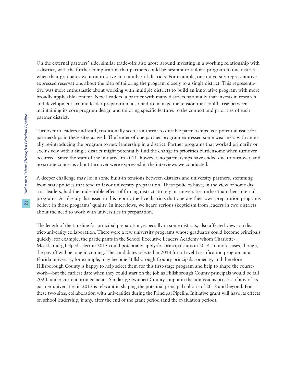On the external partners' side, similar trade-offs also arose around investing in a working relationship with a district, with the further complication that partners could be hesitant to tailor a program to one district when their graduates went on to serve in a number of districts. For example, one university representative expressed reservations about the idea of tailoring the program closely to a single district. This representative was more enthusiastic about working with multiple districts to build an innovative program with more broadly applicable content. New Leaders, a partner with many districts nationally that invests in research and development around leader preparation, also had to manage the tension that could arise between maintaining its core program design and tailoring specific features to the context and priorities of each partner district.

Turnover in leaders and staff, traditionally seen as a threat to durable partnerships, is a potential issue for partnerships in these sites as well. The leader of one partner program expressed some weariness with annually re-introducing the program to new leadership in a district. Partner programs that worked primarily or exclusively with a single district might potentially find the change in priorities burdensome when turnover occurred. Since the start of the initiative in 2011, however, no partnerships have ended due to turnover, and no strong concerns about turnover were expressed in the interviews we conducted.

A deeper challenge may lie in some built-in tensions between districts and university partners, stemming from state policies that tend to favor university preparation. These policies have, in the view of some district leaders, had the undesirable effect of forcing districts to rely on universities rather than their internal programs. As already discussed in this report, the five districts that operate their own preparation programs believe in those programs' quality. In interviews, we heard serious skepticism from leaders in two districts about the need to work with universities in preparation.

The length of the timeline for principal preparation, especially in some districts, also affected views on district-university collaboration. There were a few university programs whose graduates could become principals quickly: for example, the participants in the School Executive Leaders Academy whom Charlotte-Mecklenburg helped select in 2013 could potentially apply for principalships in 2014. In more cases, though, the payoff will be long in coming. The candidates selected in 2013 for a Level I certification program at a Florida university, for example, may become Hillsborough County principals someday, and therefore Hillsborough County is happy to help select them for this first-stage program and help to shape the coursework—but the earliest date when they could start on the job as Hillsborough County principals would be fall 2020, under current arrangements. Similarly, Gwinnett County's input in the admissions process of any of its partner universities in 2013 is relevant in shaping the potential principal cohorts of 2018 and beyond. For these two sites, collaboration with universities during the Principal Pipeline Initiative grant will have its effects on school leadership, if any, after the end of the grant period (and the evaluation period).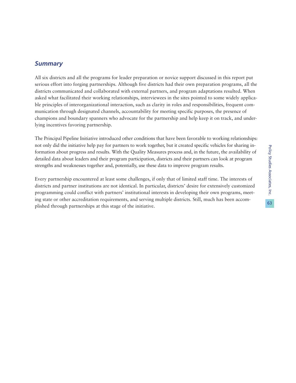### *Summary*

All six districts and all the programs for leader preparation or novice support discussed in this report put serious effort into forging partnerships. Although five districts had their own preparation programs, all the districts communicated and collaborated with external partners, and program adaptations resulted. When asked what facilitated their working relationships, interviewees in the sites pointed to some widely applicable principles of interorganizational interaction, such as clarity in roles and responsibilities, frequent communication through designated channels, accountability for meeting specific purposes, the presence of champions and boundary spanners who advocate for the partnership and help keep it on track, and underlying incentives favoring partnership.

The Principal Pipeline Initiative introduced other conditions that have been favorable to working relationships: not only did the initiative help pay for partners to work together, but it created specific vehicles for sharing information about progress and results. With the Quality Measures process and, in the future, the availability of detailed data about leaders and their program participation, districts and their partners can look at program strengths and weaknesses together and, potentially, use these data to improve program results.

Every partnership encountered at least some challenges, if only that of limited staff time. The interests of districts and partner institutions are not identical. In particular, districts' desire for extensively customized programming could conflict with partners' institutional interests in developing their own programs, meeting state or other accreditation requirements, and serving multiple districts. Still, much has been accomplished through partnerships at this stage of the initiative.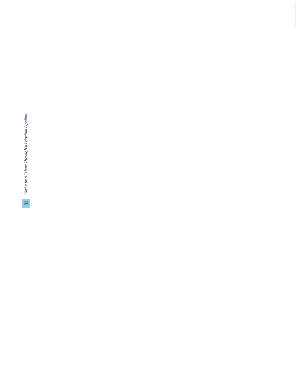*Cultivating Talent Through a Principal Pipeline* **644** Cultivating Talent Through a Principal Pipeline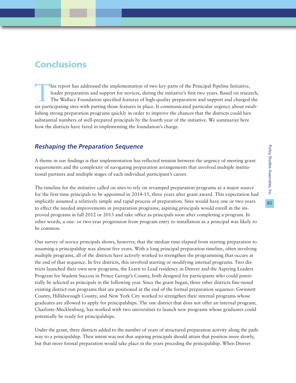# **Conclusions**

This report has addressed the implementation of two key parts of the Principal Pipeline Initiative, leader preparation and support for novices, during the initiative's first two years. Based on research, The Wallace Foundation specified features of high-quality preparation and support and charged the six participating sites with putting those features in place. It communicated particular urgency about establishing strong preparation programs quickly in order to improve the chances that the districts could hire substantial numbers of well-prepared principals by the fourth year of the initiative. We summarize here how the districts have fared in implementing the foundation's charge.

### *Reshaping the Preparation Sequence*

A theme in our findings is that implementation has reflected tension between the urgency of meeting grant requirements and the complexity of navigating preparation arrangements that involved multiple institutional partners and multiple stages of each individual participant's career.

The timeline for the initiative called on sites to rely on revamped preparation programs as a major source for the first-time principals to be appointed in 2014-15, three years after grant award. This expectation had implicitly assumed a relatively simple and rapid process of preparation. Sites would have one or two years to effect the needed improvements in preparation programs; aspiring principals would enroll in the improved programs in fall 2012 or 2013 and take office as principals soon after completing a program. In other words, a one- or two-year progression from program entry to installation as a principal was likely to be common.

Our survey of novice principals shows, however, that the median time elapsed from starting preparation to assuming a principalship was almost five years. With a long principal preparation timeline, often involving multiple programs, all of the districts have actively worked to strengthen the programming that occurs at the end of that sequence. In five districts, this involved starting or modifying internal programs. Two districts launched their own new programs, the Learn to Lead residency in Denver and the Aspiring Leaders Program for Student Success in Prince George's County, both designed for participants who could potentially be selected as principals in the following year. Since the grant began, three other districts fine-tuned existing district-run programs that are positioned at the end of the formal preparation sequence: Gwinnett County, Hillsborough County, and New York City worked to strengthen their internal programs whose graduates are allowed to apply for principalships. The one district that does not offer an internal program, Charlotte-Mecklenburg, has worked with two universities to launch new programs whose graduates could potentially be ready for principalships.

Under the grant, three districts added to the number of years of structured preparation activity along the pathway to a principalship. Their intent was not that aspiring principals should attain that position more slowly, but that more formal preparation would take place in the years preceding the principalship. When Denver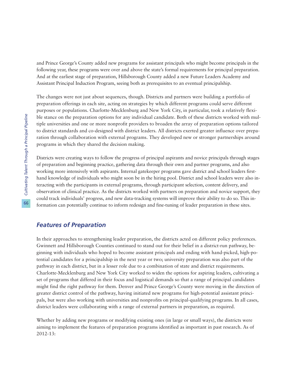and Prince George's County added new programs for assistant principals who might become principals in the following year, these programs were over and above the state's formal requirements for principal preparation. And at the earliest stage of preparation, Hillsborough County added a new Future Leaders Academy and Assistant Principal Induction Program, seeing both as prerequisites to an eventual principalship.

The changes were not just about sequences, though. Districts and partners were building a portfolio of preparation offerings in each site, acting on strategies by which different programs could serve different purposes or populations. Charlotte-Mecklenburg and New York City, in particular, took a relatively flexible stance on the preparation options for any individual candidate. Both of these districts worked with multiple universities and one or more nonprofit providers to broaden the array of preparation options tailored to district standards and co-designed with district leaders. All districts exerted greater influence over preparation through collaboration with external programs. They developed new or stronger partnerships around programs in which they shared the decision making.

Districts were creating ways to follow the progress of principal aspirants and novice principals through stages of preparation and beginning practice, gathering data through their own and partner programs, and also working more intensively with aspirants. Internal gatekeeper programs gave district and school leaders firsthand knowledge of individuals who might soon be in the hiring pool. District and school leaders were also interacting with the participants in external programs, through participant selection, content delivery, and observation of clinical practice. As the districts worked with partners on preparation and novice support, they could track individuals' progress, and new data-tracking systems will improve their ability to do so. This information can potentially continue to inform redesign and fine-tuning of leader preparation in these sites.

#### *Features of Preparation*

In their approaches to strengthening leader preparation, the districts acted on different policy preferences. Gwinnett and Hillsborough Counties continued to stand out for their belief in a district-run pathway, beginning with individuals who hoped to become assistant principals and ending with hand-picked, high-potential candidates for a principalship in the next year or two; university preparation was also part of the pathway in each district, but in a lesser role due to a combination of state and district requirements. Charlotte-Mecklenburg and New York City worked to widen the options for aspiring leaders, cultivating a set of programs that differed in their focus and logistical demands so that a range of principal candidates might find the right pathway for them. Denver and Prince George's County were moving in the direction of greater district control of the pathway, having initiated new programs for high-potential assistant principals, but were also working with universities and nonprofits on principal-qualifying programs. In all cases, district leaders were collaborating with a range of external partners in preparation, as required.

Whether by adding new programs or modifying existing ones (in large or small ways), the districts were aiming to implement the features of preparation programs identified as important in past research. As of 2012-13: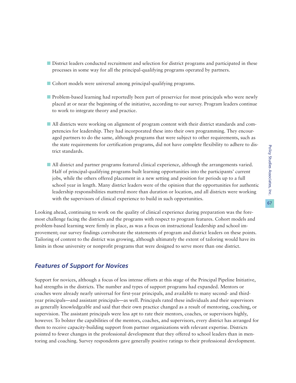- District leaders conducted recruitment and selection for district programs and participated in these processes in some way for all the principal-qualifying programs operated by partners.
- Cohort models were universal among principal-qualifying programs.
- Problem-based learning had reportedly been part of preservice for most principals who were newly placed at or near the beginning of the initiative, according to our survey. Program leaders continue to work to integrate theory and practice.
- All districts were working on alignment of program content with their district standards and competencies for leadership. They had incorporated these into their own programming. They encouraged partners to do the same, although programs that were subject to other requirements, such as the state requirements for certification programs, did not have complete flexibility to adhere to district standards.
- All district and partner programs featured clinical experience, although the arrangements varied. Half of principal-qualifying programs built learning opportunities into the participants' current jobs, while the others offered placement in a new setting and position for periods up to a full school year in length. Many district leaders were of the opinion that the opportunities for authentic leadership responsibilities mattered more than duration or location, and all districts were working with the supervisors of clinical experience to build in such opportunities.

Looking ahead, continuing to work on the quality of clinical experience during preparation was the foremost challenge facing the districts and the programs with respect to program features. Cohort models and problem-based learning were firmly in place, as was a focus on instructional leadership and school improvement; our survey findings corroborate the statements of program and district leaders on these points. Tailoring of content to the district was growing, although ultimately the extent of tailoring would have its limits in those university or nonprofit programs that were designed to serve more than one district.

#### *Features of Support for Novices*

Support for novices, although a focus of less intense efforts at this stage of the Principal Pipeline Initiative, had strengths in the districts. The number and types of support programs had expanded. Mentors or coaches were already nearly universal for first-year principals, and available to many second- and thirdyear principals—and assistant principals—as well. Principals rated these individuals and their supervisors as generally knowledgeable and said that their own practice changed as a result of mentoring, coaching, or supervision. The assistant principals were less apt to rate their mentors, coaches, or supervisors highly, however. To bolster the capabilities of the mentors, coaches, and supervisors, every district has arranged for them to receive capacity-building support from partner organizations with relevant expertise. Districts pointed to fewer changes in the professional development that they offered to school leaders than in mentoring and coaching. Survey respondents gave generally positive ratings to their professional development.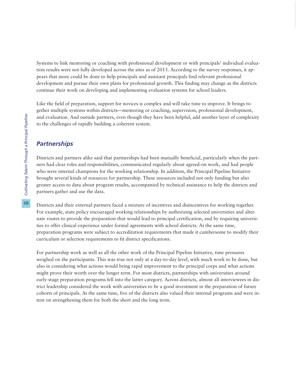Systems to link mentoring or coaching with professional development or with principals' individual evaluation results were not fully developed across the sites as of 2013. According to the survey responses, it appears that more could be done to help principals and assistant principals find relevant professional development and pursue their own plans for professional growth. This finding may change as the districts continue their work on developing and implementing evaluation systems for school leaders.

Like the field of preparation, support for novices is complex and will take time to improve. It brings together multiple systems within districts—mentoring or coaching, supervision, professional development, and evaluation. And outside partners, even though they have been helpful, add another layer of complexity to the challenges of rapidly building a coherent system.

### *Partnerships*

Districts and partners alike said that partnerships had been mutually beneficial, particularly when the partners had clear roles and responsibilities, communicated regularly about agreed-on work, and had people who were internal champions for the working relationship. In addition, the Principal Pipeline Initiative brought several kinds of resources for partnership. These resources included not only funding but also greater access to data about program results, accompanied by technical assistance to help the districts and partners gather and use the data.

Districts and their external partners faced a mixture of incentives and disincentives for working together. For example, state policy encouraged working relationships by authorizing selected universities and alternate routes to provide the preparation that would lead to principal certification, and by requiring universities to offer clinical experience under formal agreements with school districts. At the same time, preparation programs were subject to accreditation requirements that made it cumbersome to modify their curriculum or selection requirements to fit district specifications.

For partnership work as well as all the other work of the Principal Pipeline Initiative, time pressures weighed on the participants. This was true not only at a day-to-day level, with much work to be done, but also in considering what actions would bring rapid improvement to the principal corps and what actions might prove their worth over the longer term. For most districts, partnerships with universities around early-stage preparation programs fell into the latter category. Across districts, almost all interviewees in district leadership considered the work with universities to be a good investment in the preparation of future cohorts of principals. At the same time, five of the districts also valued their internal programs and were intent on strengthening them for both the short and the long term.

68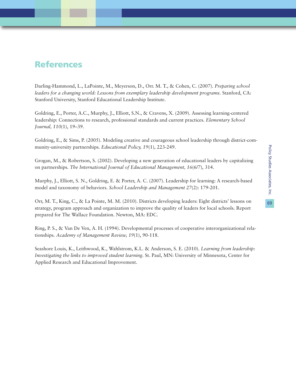## **References**

Darling-Hammond, L., LaPointe, M., Meyerson, D., Orr. M. T., & Cohen, C. (2007). *Preparing school leaders for a changing world: Lessons from exemplary leadership development programs.* Stanford, CA: Stanford University, Stanford Educational Leadership Institute.

Goldring, E., Porter, A.C., Murphy, J., Elliott, S.N., & Cravens, X. (2009). Assessing learning-centered leadership: Connections to research, professional standards and current practices. *Elementary School Journal, 110*(1), 19–39.

Goldring, E., & Sims, P. (2005). Modeling creative and courageous school leadership through district-community-university partnerships. *Educational Policy, 19*(1), 223-249.

Grogan, M., & Robertson, S. (2002). Developing a new generation of educational leaders by capitalizing on partnerships. *The International Journal of Educational Management, 16*(6/7), 314.

Murphy, J., Elliott, S. N., Goldring, E. & Porter, A. C. (2007). Leadership for learning: A research-based model and taxonomy of behaviors. *School Leadership and Management 27*(2): 179-201.

Orr, M. T., King, C., & La Pointe, M. M. (2010). Districts developing leaders: Eight districts' lessons on strategy, program approach and organization to improve the quality of leaders for local schools. Report prepared for The Wallace Foundation. Newton, MA: EDC.

Ring, P. S., & Van De Ven, A. H. (1994). Developmental processes of cooperative interorganizational relationships. *Academy of Management Review, 19*(1), 90-118.

Seashore Louis, K., Leithwood, K., Wahlstrom, K.L. & Anderson, S. E. (2010). *Learning from leadership: Investigating the links to improved student learning.* St. Paul, MN: University of Minnesota, Center for Applied Research and Educational Improvement.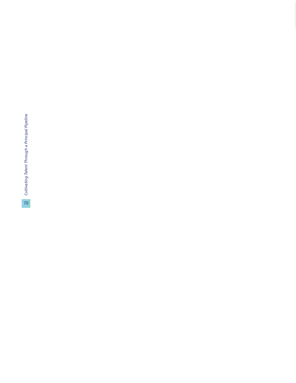*Cultivating Talent Through a Principal Pipeline* 20 Cultivating Talent Through a Principal Pipeline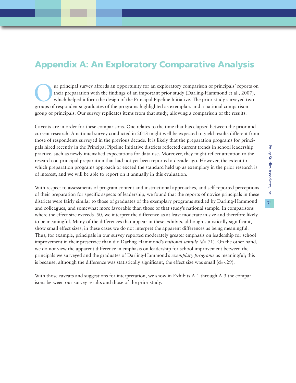# **Appendix A: An Exploratory Comparative Analysis**

ur principal survey affords an opportunity for an exploratory comparison of principals' reports on their preparation with the findings of an important prior study (Darling-Hammond et al., 2007), which helped inform the design of the Principal Pipeline Initiative. The prior study surveyed two groups of respondents: graduates of the programs highlighted as exemplars and a national comparison group of principals. Our survey replicates items from that study, allowing a comparison of the results.

Caveats are in order for these comparisons. One relates to the time that has elapsed between the prior and current research. A national survey conducted in 2013 might well be expected to yield results different from those of respondents surveyed in the previous decade. It is likely that the preparation programs for principals hired recently in the Principal Pipeline Initiative districts reflected current trends in school leadership practice, such as newly intensified expectations for data use. Moreover, they might reflect attention to the research on principal preparation that had not yet been reported a decade ago. However, the extent to which preparation programs approach or exceed the standard held up as exemplary in the prior research is of interest, and we will be able to report on it annually in this evaluation.

With respect to assessments of program content and instructional approaches, and self-reported perceptions of their preparation for specific aspects of leadership, we found that the reports of novice principals in these districts were fairly similar to those of graduates of the exemplary programs studied by Darling-Hammond and colleagues, and somewhat more favorable than those of that study's national sample. In comparisons where the effect size exceeds .50, we interpret the difference as at least moderate in size and therefore likely to be meaningful. Many of the differences that appear in these exhibits, although statistically significant, show small effect sizes; in these cases we do not interpret the apparent differences as being meaningful. Thus, for example, principals in our survey reported moderately greater emphasis on leadership for school improvement in their preservice than did Darling-Hammond's *national sample (d=*.71). On the other hand, we do not view the apparent difference in emphasis on leadership for school improvement between the principals we surveyed and the graduates of Darling-Hammond's *exemplary programs* as meaningful; this is because, although the difference was statistically significant, the effect size was small (d=-.29).

With those caveats and suggestions for interpretation, we show in Exhibits A-1 through A-3 the comparisons between our survey results and those of the prior study.

71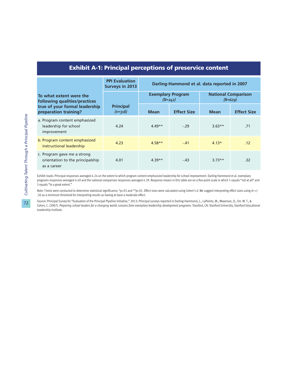### **Exhibit A-1: Principal perceptions of preservice content**

|                                                                                                                     | <b>PPI Evaluation</b><br><b>Surveys in 2013</b> | Darling-Hammond et al. data reported in 2007 |                    |                                         |                    |
|---------------------------------------------------------------------------------------------------------------------|-------------------------------------------------|----------------------------------------------|--------------------|-----------------------------------------|--------------------|
| To what extent were the<br>following qualities/practices<br>true of your formal leadership<br>preparation training? | <b>Principal</b><br>$(n=318)$                   | <b>Exemplary Program</b><br>$(N=242)$        |                    | <b>National Comparison</b><br>$(N=629)$ |                    |
|                                                                                                                     |                                                 | <b>Mean</b>                                  | <b>Effect Size</b> | <b>Mean</b>                             | <b>Effect Size</b> |
| a. Program content emphasized<br>leadership for school<br>improvement                                               | 4.24                                            | $4.49**$                                     | $-29$              | $3.63**$                                | .71                |
| b. Program content emphasized<br>instructional leadership                                                           | 4.23                                            | $4.58**$                                     | $-.41$             | $4.13*$                                 | .12                |
| c. Program gave me a strong<br>orientation to the principalship<br>as a career                                      | 4.01                                            | $4.39**$                                     | $-.43$             | $3.73**$                                | -32                |

Exhibit reads: Principal responses averaged 4.24 on the extent to which program content emphasized leadership for school improvement. Darling-Hammond et al. exemplary programs responses averaged 4.49 and the national comparison responses averaged 4.39. Response means in this table are on a five-point scale in which 1 equals "not at all" and 5 equals "to a great extent."

Note: T-tests were conducted to determine statistical significance; \*p<.05 and \*\*p<.01. Effect sizes were calculated using Cohen's d. We suggest interpreting effect sizes using d=+/-.50 as a minimum threshold for interpreting results as having at least a moderate effect.

Source: Principal Surveyfor "Evaluation of the Principal Pipeline Initiative," 2013; Principal surveys reported in Darling-Hammond,L.,LaPointe, M., Meyerson, D., Orr. M. T., & Cohen, C. (2007). Preparing school leaders for a changing world: Lessons from exemplary leadership development programs. Stanford, CA: Stanford University, Stanford Educational Leadership Institute.

72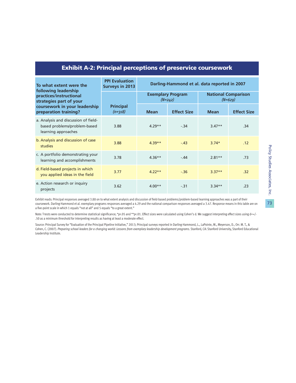# **Exhibit A-2: Principal perceptions of preservice coursework**

| To what extent were the<br>following leadership<br>practices/instructional<br>strategies part of your<br>coursework in your leadership<br>preparation training? | <b>PPI Evaluation</b><br><b>Surveys in 2013</b> | Darling-Hammond et al. data reported in 2007 |                    |                                         |                    |
|-----------------------------------------------------------------------------------------------------------------------------------------------------------------|-------------------------------------------------|----------------------------------------------|--------------------|-----------------------------------------|--------------------|
|                                                                                                                                                                 | <b>Principal</b><br>$(n=318)$                   | <b>Exemplary Program</b><br>$(N=242)$        |                    | <b>National Comparison</b><br>$(N=629)$ |                    |
|                                                                                                                                                                 |                                                 | <b>Mean</b>                                  | <b>Effect Size</b> | <b>Mean</b>                             | <b>Effect Size</b> |
| a. Analysis and discussion of field-<br>based problems/problem-based<br>learning approaches                                                                     | 3.88                                            | $4.29**$                                     | $-34$              | $3.47**$                                | .34                |
| b. Analysis and discussion of case<br>studies                                                                                                                   | 3.88                                            | $4.39**$                                     | $-43$              | $3.74*$                                 | .12                |
| c. A portfolio demonstrating your<br>learning and accomplishments                                                                                               | 3.78                                            | $4.36**$                                     | $-.44$             | $2.81**$                                | .73                |
| d. Field-based projects in which<br>you applied ideas in the field                                                                                              | 3.77                                            | $4.22**$                                     | $-.36$             | $3.37**$                                | .32                |
| e. Action research or inquiry<br>projects                                                                                                                       | 3.62                                            | $4.00**$                                     | $-31$              | $3.34**$                                | .23                |

Exhibit reads: Principal responses averaged 3.88 on to what extent analysis and discussion of field-based problems/problem-based learning approaches was a part of their coursework. Darling-Hammond et al. exemplary programs responses averaged a 4.29 and the national comparison responses averaged a 3.47. Response means in this table are on a five-point scale in which 1 equals "not at all" and 5 equals "to a great extent."

Note: T-tests were conducted to determine statistical significance; \*p<.05 and \*\*p<.01. Effect sizes were calculated using Cohen's d. We suggest interpreting effect sizes using d=+/-.50 as a minimum threshold for interpreting results as having at least a moderate effect.

Source: Principal Survey for "Evaluation of the Principal Pipeline Initiative," 2013; Principal surveys reported in Darling-Hammond, L., LaPointe, M., Meyerson, D., Orr. M. T., & Cohen, C. (2007). Preparing school leaders for a changing world: Lessons from exemplary leadership development programs. Stanford, CA: Stanford University, Stanford Educational Leadership Institute.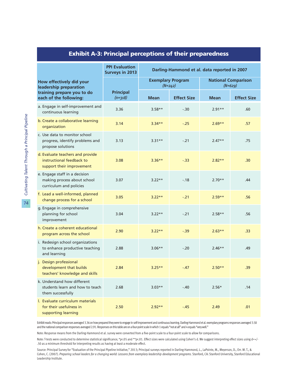|                                                                                                            | <b>PPI Evaluation</b><br><b>Surveys in 2013</b> | Darling-Hammond et al. data reported in 2007 |                    |                                         |                    |  |
|------------------------------------------------------------------------------------------------------------|-------------------------------------------------|----------------------------------------------|--------------------|-----------------------------------------|--------------------|--|
| How effectively did your<br>leadership preparation<br>training prepare you to do<br>each of the following: | <b>Principal</b><br>$(n=318)$                   | <b>Exemplary Program</b><br>$(N=242)$        |                    | <b>National Comparison</b><br>$(N=629)$ |                    |  |
|                                                                                                            |                                                 | <b>Mean</b>                                  | <b>Effect Size</b> | <b>Mean</b>                             | <b>Effect Size</b> |  |
| a. Engage in self-improvement and<br>continuous learning                                                   | 3.36                                            | $3.58**$                                     | $-.30$             | $2.91**$                                | .60                |  |
| b. Create a collaborative learning<br>organization                                                         | 3.14                                            | $3.34**$                                     | $-.25$             | $2.69**$                                | .57                |  |
| c. Use data to monitor school<br>progress, identify problems and<br>propose solutions                      | 3.13                                            | $3.31**$                                     | $-.21$             | $2.47**$                                | .75                |  |
| d. Evaluate teachers and provide<br>instructional feedback to<br>support their improvement                 | 3.08                                            | $3.36**$                                     | $-.33$             | $2.82**$                                | .30                |  |
| e. Engage staff in a decision<br>making process about school<br>curriculum and policies                    | 3.07                                            | $3.22**$                                     | $-.18$             | $2.70**$                                | .44                |  |
| f. Lead a well-informed, planned<br>change process for a school                                            | 3.05                                            | $3.22**$                                     | $-.21$             | $2.59**$                                | .56                |  |
| g. Engage in comprehensive<br>planning for school<br>improvement                                           | 3.04                                            | $3.22**$                                     | $-.21$             | $2.58**$                                | .56                |  |
| h. Create a coherent educational<br>program across the school                                              | 2.90                                            | $3.22**$                                     | $-.39$             | $2.63**$                                | .33                |  |
| i. Redesign school organizations<br>to enhance productive teaching<br>and learning                         | 2.88                                            | $3.06**$                                     | $-.20$             | $2.46**$                                | .49                |  |
| j. Design professional<br>development that builds<br>teachers' knowledge and skills                        | 2.84                                            | $3.25**$                                     | $-.47$             | $2.50**$                                | .39                |  |
| k. Understand how different<br>students learn and how to teach<br>them successfully                        | 2.68                                            | $3.03**$                                     | $-.40$             | $2.56*$                                 | .14                |  |
| I. Evaluate curriculum materials<br>for their usefulness in<br>supporting learning                         | 2.50                                            | $2.92**$                                     | $-.45$             | 2.49                                    | .01                |  |

### **Exhibit A-3: Principal perceptions of their preparedness**

Exhibit reads: Principal responses averaged 3.36 on how prepared they were to engage in self-improvement and continuous learning. Darling-Hammond et al. exemplary programs responses averaged 3.58 and the national comparison responses averaged 2.91. Responses on this table are on a four-point scale in which 1 equals "not at all" and 4 equals "very well."

Note: Response means from the Darling-Hammond et al. survey were converted from a five-point scale to a four-point scale to allow forcomparisons.

Note: T-tests were conducted to determine statistical significance; \*p<.05 and \*\*p<.01. Effect sizes were calculated using Cohen's d. We suggest interpreting effect sizes using d=+/-.50 as a minimum threshold for interpreting results as having at least a moderate effect.

Source: Principal Survey for "Evaluation of the Principal Pipeline Initiative," 2013; Principal surveys reported in Darling-Hammond, L., LaPointe, M., Meyerson, D., Orr. M. T., & Cohen, C. (2007). Preparing school leaders for a changing world: Lessons from exemplary leadership development programs. Stanford, CA: Stanford University, Stanford Educational Leadership Institute.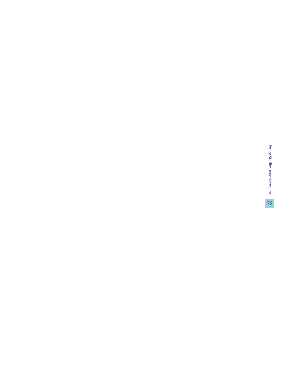Policy Studies Associates, Inc. Policy Studies Associates, Inc. 乃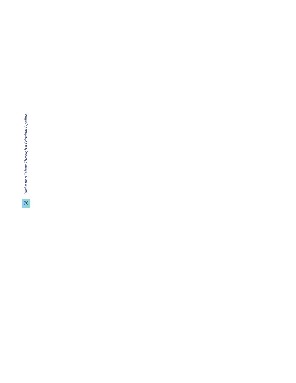*Cultivating Talent Through a Principal Pipeline* of Cultivating Talent Through a Principal Pipeline